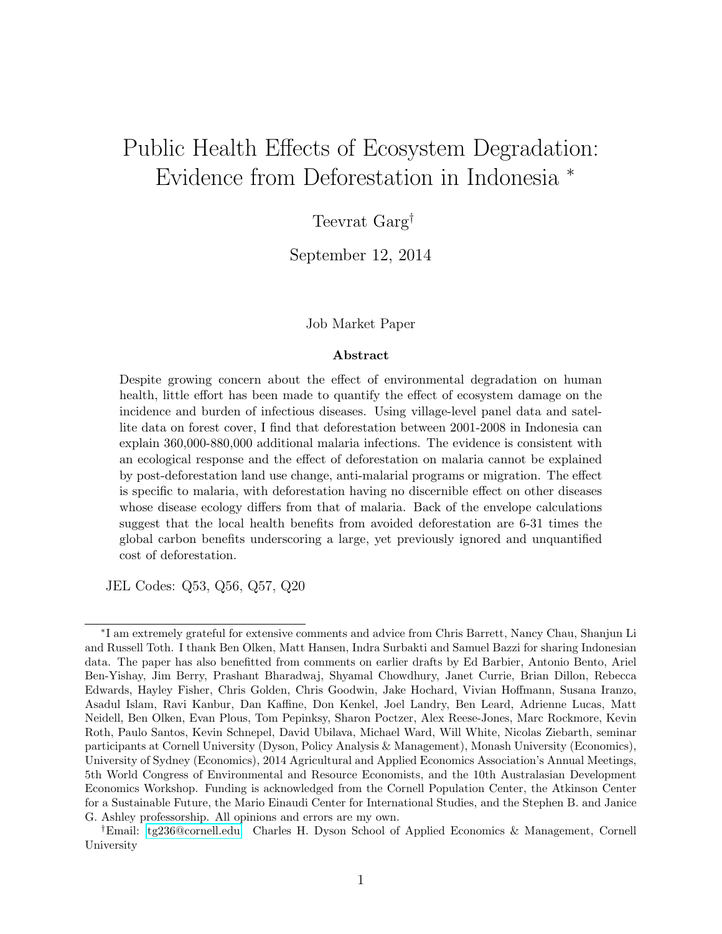# <span id="page-0-0"></span>Public Health Effects of Ecosystem Degradation: Evidence from Deforestation in Indonesia <sup>∗</sup>

# Teevrat $\text{Garg}^\dagger$

September 12, 2014

#### Job Market Paper

#### Abstract

Despite growing concern about the effect of environmental degradation on human health, little effort has been made to quantify the effect of ecosystem damage on the incidence and burden of infectious diseases. Using village-level panel data and satellite data on forest cover, I find that deforestation between 2001-2008 in Indonesia can explain 360,000-880,000 additional malaria infections. The evidence is consistent with an ecological response and the effect of deforestation on malaria cannot be explained by post-deforestation land use change, anti-malarial programs or migration. The effect is specific to malaria, with deforestation having no discernible effect on other diseases whose disease ecology differs from that of malaria. Back of the envelope calculations suggest that the local health benefits from avoided deforestation are 6-31 times the global carbon benefits underscoring a large, yet previously ignored and unquantified cost of deforestation.

JEL Codes: Q53, Q56, Q57, Q20

<sup>∗</sup> I am extremely grateful for extensive comments and advice from Chris Barrett, Nancy Chau, Shanjun Li and Russell Toth. I thank Ben Olken, Matt Hansen, Indra Surbakti and Samuel Bazzi for sharing Indonesian data. The paper has also benefitted from comments on earlier drafts by Ed Barbier, Antonio Bento, Ariel Ben-Yishay, Jim Berry, Prashant Bharadwaj, Shyamal Chowdhury, Janet Currie, Brian Dillon, Rebecca Edwards, Hayley Fisher, Chris Golden, Chris Goodwin, Jake Hochard, Vivian Hoffmann, Susana Iranzo, Asadul Islam, Ravi Kanbur, Dan Kaffine, Don Kenkel, Joel Landry, Ben Leard, Adrienne Lucas, Matt Neidell, Ben Olken, Evan Plous, Tom Pepinksy, Sharon Poctzer, Alex Reese-Jones, Marc Rockmore, Kevin Roth, Paulo Santos, Kevin Schnepel, David Ubilava, Michael Ward, Will White, Nicolas Ziebarth, seminar participants at Cornell University (Dyson, Policy Analysis & Management), Monash University (Economics), University of Sydney (Economics), 2014 Agricultural and Applied Economics Association's Annual Meetings, 5th World Congress of Environmental and Resource Economists, and the 10th Australasian Development Economics Workshop. Funding is acknowledged from the Cornell Population Center, the Atkinson Center for a Sustainable Future, the Mario Einaudi Center for International Studies, and the Stephen B. and Janice G. Ashley professorship. All opinions and errors are my own.

<sup>†</sup>Email: [tg236@cornell.edu.](file:tg236@cornell.edu) Charles H. Dyson School of Applied Economics & Management, Cornell University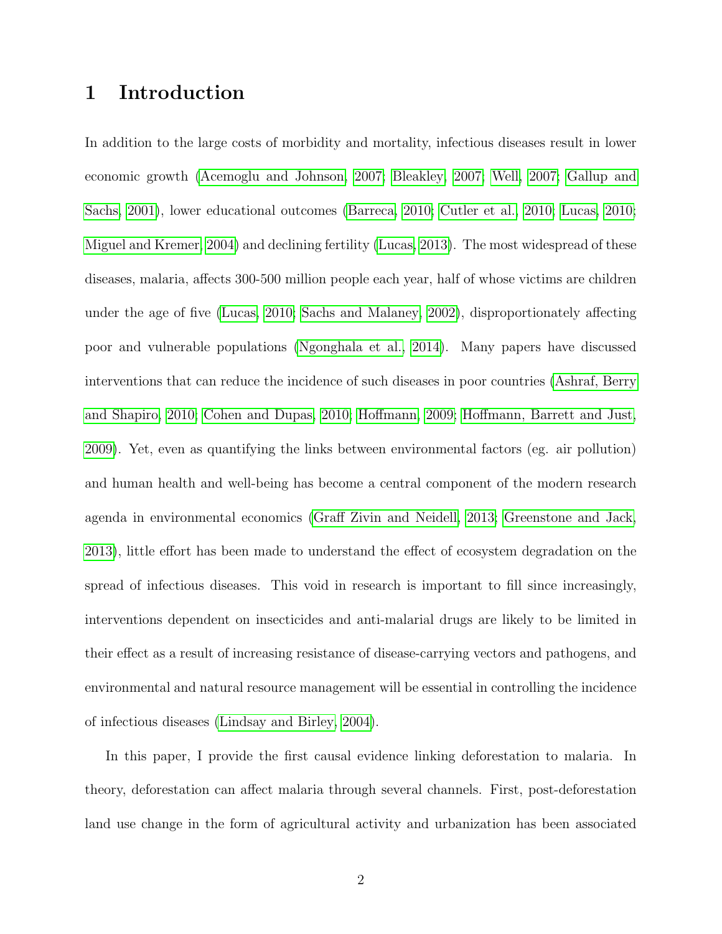# 1 Introduction

In addition to the large costs of morbidity and mortality, infectious diseases result in lower economic growth [\(Acemoglu and Johnson, 2007;](#page-28-0) [Bleakley, 2007;](#page-29-0) [Well, 2007;](#page-32-0) [Gallup and](#page-30-0) [Sachs, 2001\)](#page-30-0), lower educational outcomes [\(Barreca, 2010;](#page-28-1) [Cutler et al., 2010;](#page-29-1) [Lucas, 2010;](#page-31-0) [Miguel and Kremer, 2004\)](#page-31-1) and declining fertility [\(Lucas, 2013\)](#page-31-2). The most widespread of these diseases, malaria, affects 300-500 million people each year, half of whose victims are children under the age of five [\(Lucas, 2010;](#page-31-0) [Sachs and Malaney, 2002\)](#page-32-1), disproportionately affecting poor and vulnerable populations [\(Ngonghala et al., 2014\)](#page-32-2). Many papers have discussed interventions that can reduce the incidence of such diseases in poor countries [\(Ashraf, Berry](#page-28-2) [and Shapiro, 2010;](#page-28-2) [Cohen and Dupas, 2010;](#page-29-2) [Hoffmann, 2009;](#page-30-1) [Hoffmann, Barrett and Just,](#page-30-2) [2009\)](#page-30-2). Yet, even as quantifying the links between environmental factors (eg. air pollution) and human health and well-being has become a central component of the modern research agenda in environmental economics [\(Graff Zivin and Neidell, 2013;](#page-30-3) [Greenstone and Jack,](#page-30-4) [2013\)](#page-30-4), little effort has been made to understand the effect of ecosystem degradation on the spread of infectious diseases. This void in research is important to fill since increasingly, interventions dependent on insecticides and anti-malarial drugs are likely to be limited in their effect as a result of increasing resistance of disease-carrying vectors and pathogens, and environmental and natural resource management will be essential in controlling the incidence of infectious diseases [\(Lindsay and Birley, 2004\)](#page-31-3).

In this paper, I provide the first causal evidence linking deforestation to malaria. In theory, deforestation can affect malaria through several channels. First, post-deforestation land use change in the form of agricultural activity and urbanization has been associated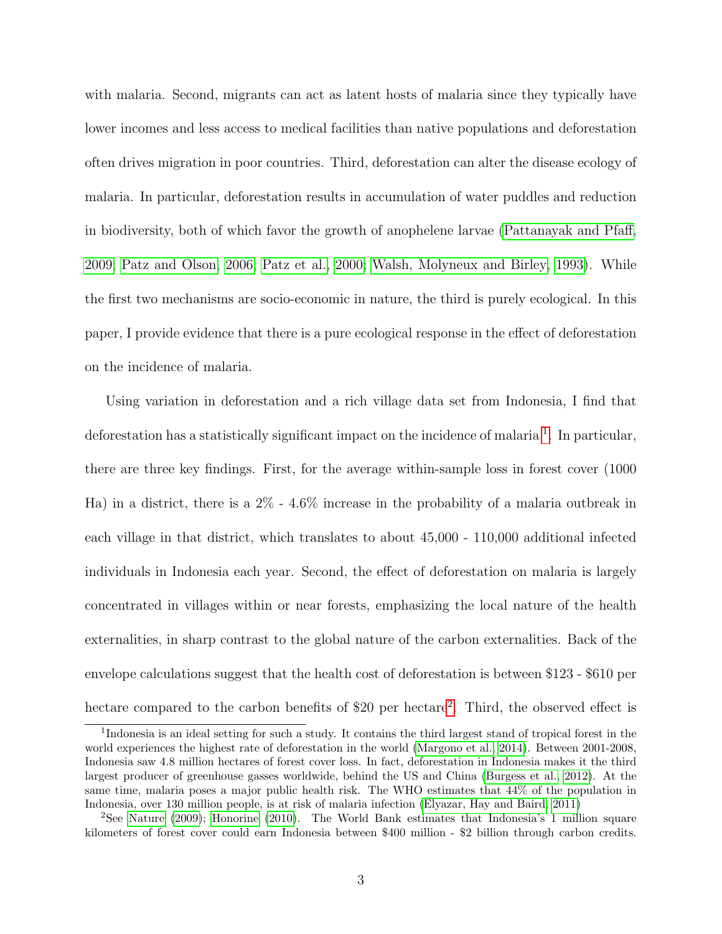with malaria. Second, migrants can act as latent hosts of malaria since they typically have lower incomes and less access to medical facilities than native populations and deforestation often drives migration in poor countries. Third, deforestation can alter the disease ecology of malaria. In particular, deforestation results in accumulation of water puddles and reduction in biodiversity, both of which favor the growth of anophelene larvae [\(Pattanayak and Pfaff,](#page-32-3) [2009;](#page-32-3) [Patz and Olson, 2006;](#page-32-4) [Patz et al., 2000;](#page-32-5) [Walsh, Molyneux and Birley, 1993\)](#page-32-6). While the first two mechanisms are socio-economic in nature, the third is purely ecological. In this paper, I provide evidence that there is a pure ecological response in the effect of deforestation on the incidence of malaria.

Using variation in deforestation and a rich village data set from Indonesia, I find that deforestation has a statistically significant impact on the incidence of malaria <sup>[1](#page-0-0)</sup>. In particular, there are three key findings. First, for the average within-sample loss in forest cover (1000 Ha) in a district, there is a 2% - 4.6% increase in the probability of a malaria outbreak in each village in that district, which translates to about 45,000 - 110,000 additional infected individuals in Indonesia each year. Second, the effect of deforestation on malaria is largely concentrated in villages within or near forests, emphasizing the local nature of the health externalities, in sharp contrast to the global nature of the carbon externalities. Back of the envelope calculations suggest that the health cost of deforestation is between \$123 - \$610 per hectare compared to the carbon benefits of \$[2](#page-0-0)0 per hectare<sup>2</sup>. Third, the observed effect is

<sup>&</sup>lt;sup>1</sup>Indonesia is an ideal setting for such a study. It contains the third largest stand of tropical forest in the world experiences the highest rate of deforestation in the world [\(Margono et al., 2014\)](#page-31-4). Between 2001-2008, Indonesia saw 4.8 million hectares of forest cover loss. In fact, deforestation in Indonesia makes it the third largest producer of greenhouse gasses worldwide, behind the US and China [\(Burgess et al., 2012\)](#page-29-3). At the same time, malaria poses a major public health risk. The WHO estimates that 44% of the population in Indonesia, over 130 million people, is at risk of malaria infection [\(Elyazar, Hay and Baird, 2011\)](#page-29-4)

<sup>2</sup>See [Nature](#page-31-5) [\(2009\)](#page-31-5); [Honorine](#page-30-5) [\(2010\)](#page-30-5). The World Bank estimates that Indonesia's 1 million square kilometers of forest cover could earn Indonesia between \$400 million - \$2 billion through carbon credits.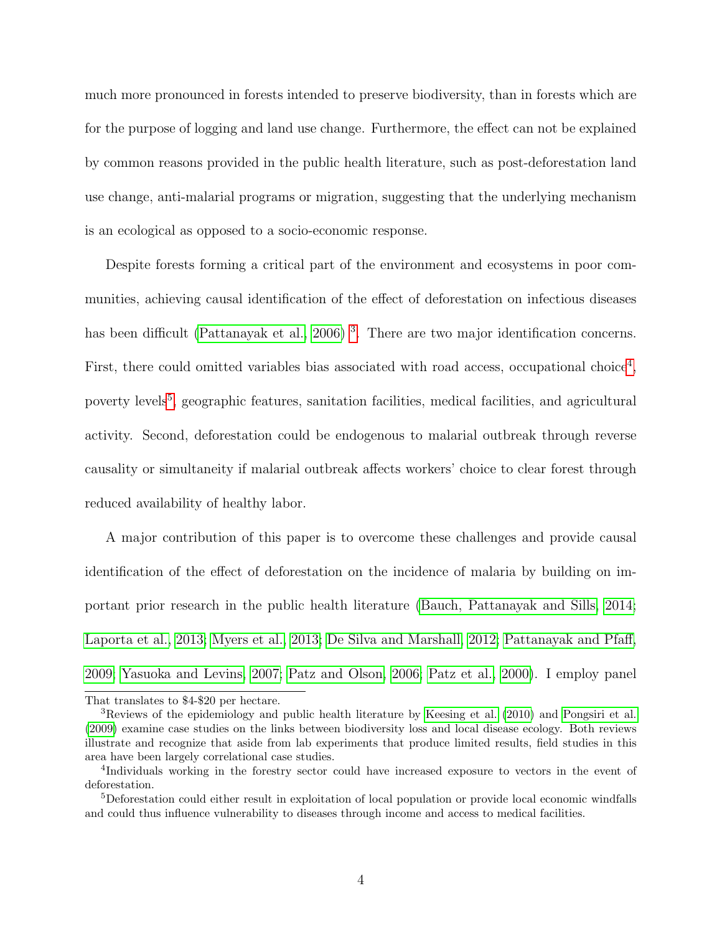much more pronounced in forests intended to preserve biodiversity, than in forests which are for the purpose of logging and land use change. Furthermore, the effect can not be explained by common reasons provided in the public health literature, such as post-deforestation land use change, anti-malarial programs or migration, suggesting that the underlying mechanism is an ecological as opposed to a socio-economic response.

Despite forests forming a critical part of the environment and ecosystems in poor communities, achieving causal identification of the effect of deforestation on infectious diseases has been difficult [\(Pattanayak et al., 2006\)](#page-32-7)<sup>[3](#page-0-0)</sup>. There are two major identification concerns. First, there could omitted variables bias associated with road access, occupational choice<sup>[4](#page-0-0)</sup>, poverty levels<sup>[5](#page-0-0)</sup>, geographic features, sanitation facilities, medical facilities, and agricultural activity. Second, deforestation could be endogenous to malarial outbreak through reverse causality or simultaneity if malarial outbreak affects workers' choice to clear forest through reduced availability of healthy labor.

A major contribution of this paper is to overcome these challenges and provide causal identification of the effect of deforestation on the incidence of malaria by building on important prior research in the public health literature [\(Bauch, Pattanayak and Sills, 2014;](#page-29-5) [Laporta et al., 2013;](#page-31-6) [Myers et al., 2013;](#page-31-7) [De Silva and Marshall, 2012;](#page-29-6) [Pattanayak and Pfaff,](#page-32-3) [2009;](#page-32-3) [Yasuoka and Levins, 2007;](#page-32-8) [Patz and Olson, 2006;](#page-32-4) [Patz et al., 2000\)](#page-32-5). I employ panel

That translates to \$4-\$20 per hectare.

<sup>3</sup>Reviews of the epidemiology and public health literature by [Keesing et al.](#page-31-8) [\(2010\)](#page-31-8) and [Pongsiri et al.](#page-32-9) [\(2009\)](#page-32-9) examine case studies on the links between biodiversity loss and local disease ecology. Both reviews illustrate and recognize that aside from lab experiments that produce limited results, field studies in this area have been largely correlational case studies.

<sup>4</sup> Individuals working in the forestry sector could have increased exposure to vectors in the event of deforestation.

<sup>5</sup>Deforestation could either result in exploitation of local population or provide local economic windfalls and could thus influence vulnerability to diseases through income and access to medical facilities.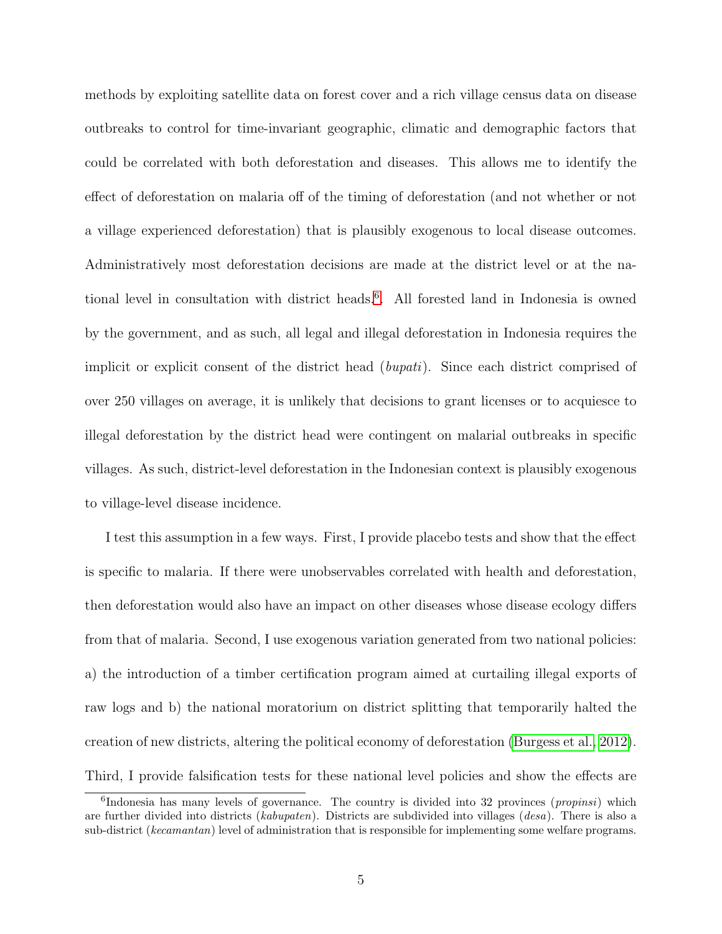methods by exploiting satellite data on forest cover and a rich village census data on disease outbreaks to control for time-invariant geographic, climatic and demographic factors that could be correlated with both deforestation and diseases. This allows me to identify the effect of deforestation on malaria off of the timing of deforestation (and not whether or not a village experienced deforestation) that is plausibly exogenous to local disease outcomes. Administratively most deforestation decisions are made at the district level or at the na-tional level in consultation with district heads.<sup>[6](#page-0-0)</sup>. All forested land in Indonesia is owned by the government, and as such, all legal and illegal deforestation in Indonesia requires the implicit or explicit consent of the district head (bupati). Since each district comprised of over 250 villages on average, it is unlikely that decisions to grant licenses or to acquiesce to illegal deforestation by the district head were contingent on malarial outbreaks in specific villages. As such, district-level deforestation in the Indonesian context is plausibly exogenous to village-level disease incidence.

I test this assumption in a few ways. First, I provide placebo tests and show that the effect is specific to malaria. If there were unobservables correlated with health and deforestation, then deforestation would also have an impact on other diseases whose disease ecology differs from that of malaria. Second, I use exogenous variation generated from two national policies: a) the introduction of a timber certification program aimed at curtailing illegal exports of raw logs and b) the national moratorium on district splitting that temporarily halted the creation of new districts, altering the political economy of deforestation [\(Burgess et al., 2012\)](#page-29-3). Third, I provide falsification tests for these national level policies and show the effects are

 ${}^{6}$ Indonesia has many levels of governance. The country is divided into 32 provinces (*propinsi*) which are further divided into districts (kabupaten). Districts are subdivided into villages (desa). There is also a sub-district (kecamantan) level of administration that is responsible for implementing some welfare programs.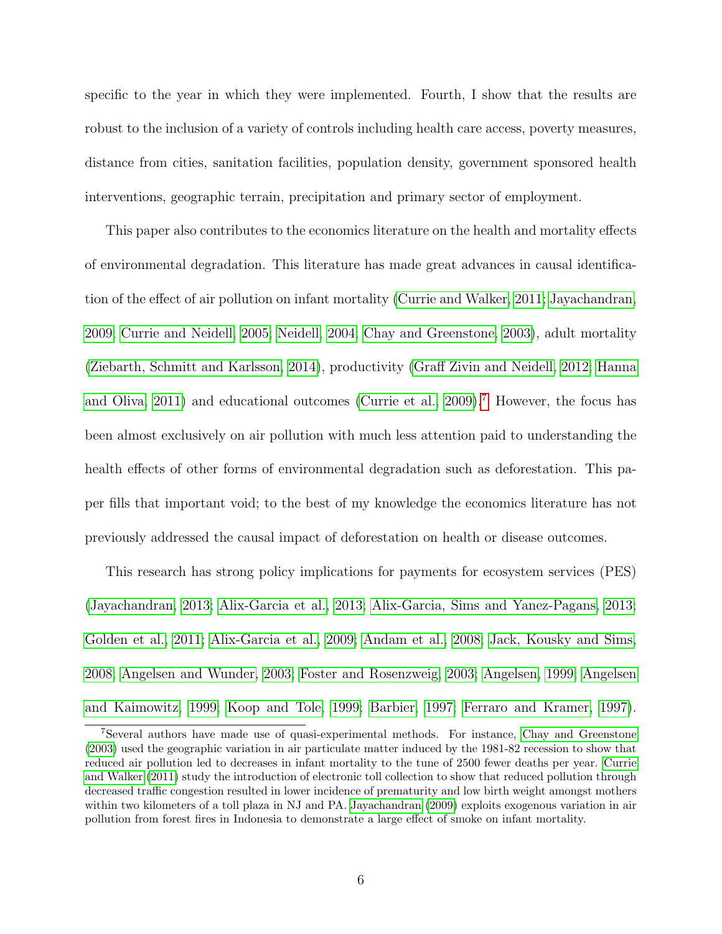specific to the year in which they were implemented. Fourth, I show that the results are robust to the inclusion of a variety of controls including health care access, poverty measures, distance from cities, sanitation facilities, population density, government sponsored health interventions, geographic terrain, precipitation and primary sector of employment.

This paper also contributes to the economics literature on the health and mortality effects of environmental degradation. This literature has made great advances in causal identification of the effect of air pollution on infant mortality [\(Currie and Walker, 2011;](#page-29-7) [Jayachandran,](#page-31-9) [2009;](#page-31-9) [Currie and Neidell, 2005;](#page-29-8) [Neidell, 2004;](#page-31-10) [Chay and Greenstone, 2003\)](#page-29-9), adult mortality [\(Ziebarth, Schmitt and Karlsson, 2014\)](#page-33-0), productivity [\(Graff Zivin and Neidell, 2012;](#page-30-6) [Hanna](#page-30-7) [and Oliva, 2011\)](#page-30-7) and educational outcomes [\(Currie et al., 2009\)](#page-29-10).[7](#page-0-0) However, the focus has been almost exclusively on air pollution with much less attention paid to understanding the health effects of other forms of environmental degradation such as deforestation. This paper fills that important void; to the best of my knowledge the economics literature has not previously addressed the causal impact of deforestation on health or disease outcomes.

This research has strong policy implications for payments for ecosystem services (PES) [\(Jayachandran, 2013;](#page-31-11) [Alix-Garcia et al., 2013;](#page-28-3) [Alix-Garcia, Sims and Yanez-Pagans, 2013;](#page-28-4) [Golden et al., 2011;](#page-30-8) [Alix-Garcia et al., 2009;](#page-28-5) [Andam et al., 2008;](#page-28-6) [Jack, Kousky and Sims,](#page-30-9) [2008;](#page-30-9) [Angelsen and Wunder, 2003;](#page-28-7) [Foster and Rosenzweig, 2003;](#page-30-10) [Angelsen, 1999;](#page-28-8) [Angelsen](#page-28-9) [and Kaimowitz, 1999;](#page-28-9) [Koop and Tole, 1999;](#page-31-12) [Barbier, 1997;](#page-28-10) [Ferraro and Kramer, 1997\)](#page-30-11).

<sup>7</sup>Several authors have made use of quasi-experimental methods. For instance, [Chay and Greenstone](#page-29-9) [\(2003\)](#page-29-9) used the geographic variation in air particulate matter induced by the 1981-82 recession to show that reduced air pollution led to decreases in infant mortality to the tune of 2500 fewer deaths per year. [Currie](#page-29-7) [and Walker](#page-29-7) [\(2011\)](#page-29-7) study the introduction of electronic toll collection to show that reduced pollution through decreased traffic congestion resulted in lower incidence of prematurity and low birth weight amongst mothers within two kilometers of a toll plaza in NJ and PA. [Jayachandran](#page-31-9) [\(2009\)](#page-31-9) exploits exogenous variation in air pollution from forest fires in Indonesia to demonstrate a large effect of smoke on infant mortality.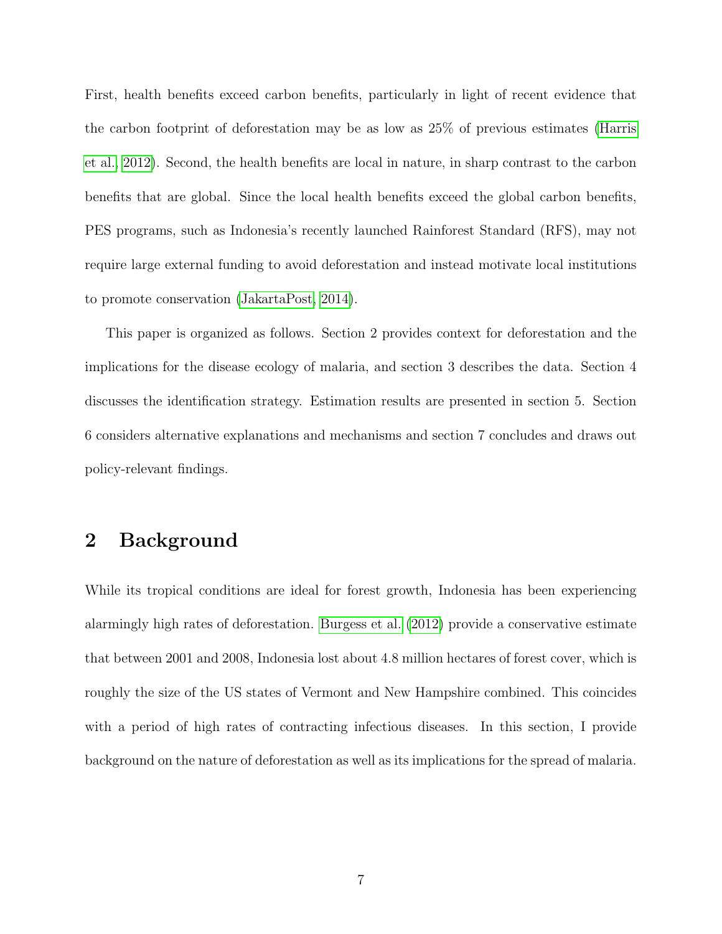First, health benefits exceed carbon benefits, particularly in light of recent evidence that the carbon footprint of deforestation may be as low as 25% of previous estimates [\(Harris](#page-30-12) [et al., 2012\)](#page-30-12). Second, the health benefits are local in nature, in sharp contrast to the carbon benefits that are global. Since the local health benefits exceed the global carbon benefits, PES programs, such as Indonesia's recently launched Rainforest Standard (RFS), may not require large external funding to avoid deforestation and instead motivate local institutions to promote conservation [\(JakartaPost, 2014\)](#page-30-13).

This paper is organized as follows. Section 2 provides context for deforestation and the implications for the disease ecology of malaria, and section 3 describes the data. Section 4 discusses the identification strategy. Estimation results are presented in section 5. Section 6 considers alternative explanations and mechanisms and section 7 concludes and draws out policy-relevant findings.

## 2 Background

While its tropical conditions are ideal for forest growth, Indonesia has been experiencing alarmingly high rates of deforestation. [Burgess et al.](#page-29-3) [\(2012\)](#page-29-3) provide a conservative estimate that between 2001 and 2008, Indonesia lost about 4.8 million hectares of forest cover, which is roughly the size of the US states of Vermont and New Hampshire combined. This coincides with a period of high rates of contracting infectious diseases. In this section, I provide background on the nature of deforestation as well as its implications for the spread of malaria.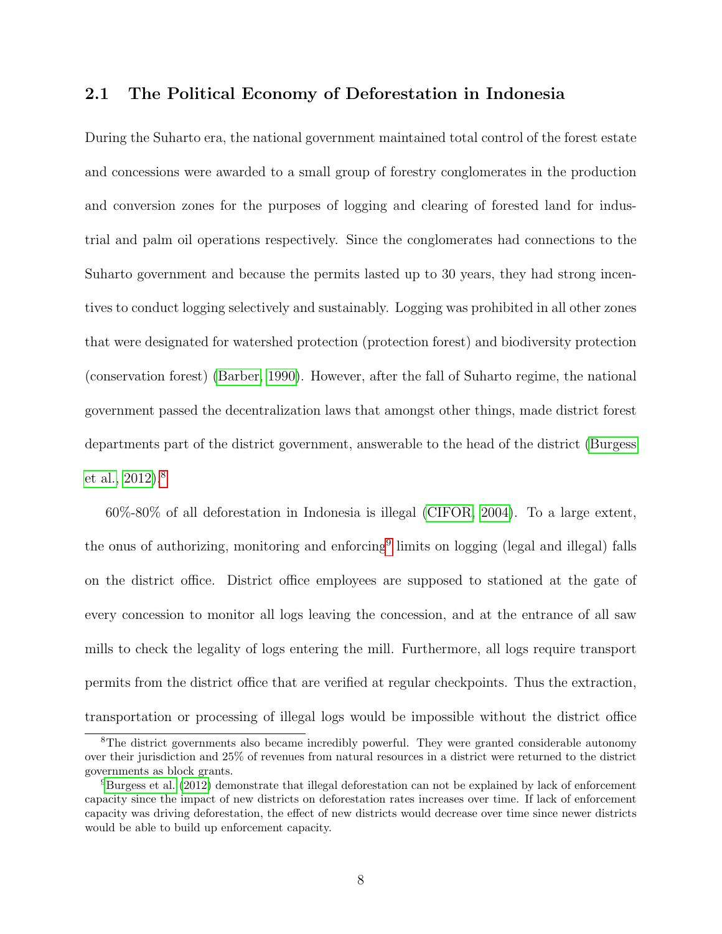#### <span id="page-7-0"></span>2.1 The Political Economy of Deforestation in Indonesia

During the Suharto era, the national government maintained total control of the forest estate and concessions were awarded to a small group of forestry conglomerates in the production and conversion zones for the purposes of logging and clearing of forested land for industrial and palm oil operations respectively. Since the conglomerates had connections to the Suharto government and because the permits lasted up to 30 years, they had strong incentives to conduct logging selectively and sustainably. Logging was prohibited in all other zones that were designated for watershed protection (protection forest) and biodiversity protection (conservation forest) [\(Barber, 1990\)](#page-28-11). However, after the fall of Suharto regime, the national government passed the decentralization laws that amongst other things, made district forest departments part of the district government, answerable to the head of the district [\(Burgess](#page-29-3) [et al., 2012\)](#page-29-3).[8](#page-0-0)

60%-80% of all deforestation in Indonesia is illegal [\(CIFOR, 2004\)](#page-29-11). To a large extent, the onus of authorizing, monitoring and enforcing<sup>[9](#page-0-0)</sup> limits on logging (legal and illegal) falls on the district office. District office employees are supposed to stationed at the gate of every concession to monitor all logs leaving the concession, and at the entrance of all saw mills to check the legality of logs entering the mill. Furthermore, all logs require transport permits from the district office that are verified at regular checkpoints. Thus the extraction, transportation or processing of illegal logs would be impossible without the district office

<sup>&</sup>lt;sup>8</sup>The district governments also became incredibly powerful. They were granted considerable autonomy over their jurisdiction and 25% of revenues from natural resources in a district were returned to the district governments as block grants.

<sup>9</sup>[Burgess et al.](#page-29-3) [\(2012\)](#page-29-3) demonstrate that illegal deforestation can not be explained by lack of enforcement capacity since the impact of new districts on deforestation rates increases over time. If lack of enforcement capacity was driving deforestation, the effect of new districts would decrease over time since newer districts would be able to build up enforcement capacity.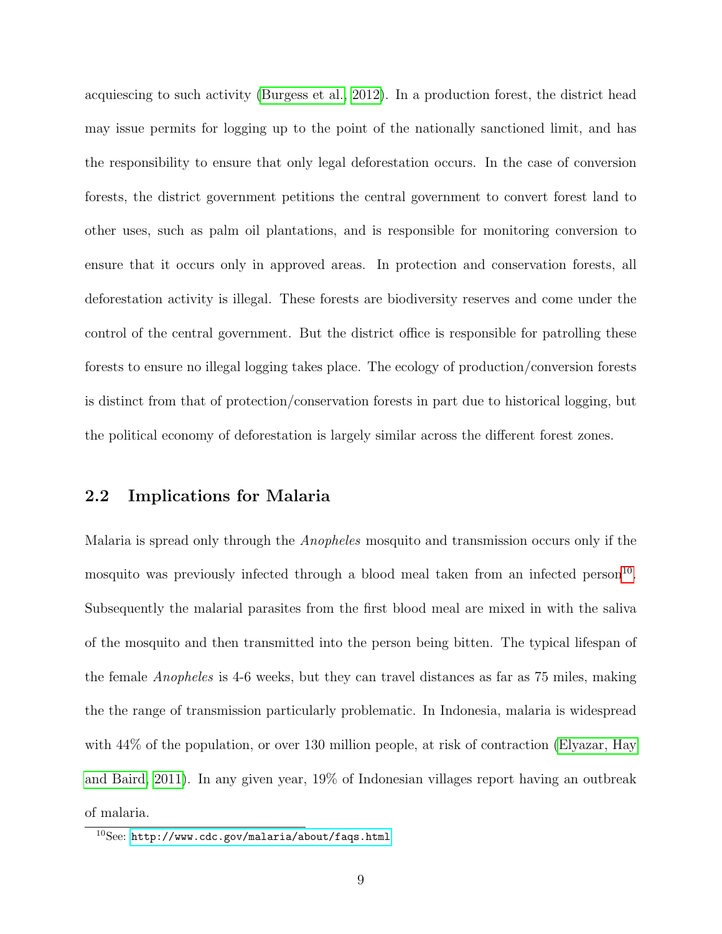acquiescing to such activity [\(Burgess et al., 2012\)](#page-29-3). In a production forest, the district head may issue permits for logging up to the point of the nationally sanctioned limit, and has the responsibility to ensure that only legal deforestation occurs. In the case of conversion forests, the district government petitions the central government to convert forest land to other uses, such as palm oil plantations, and is responsible for monitoring conversion to ensure that it occurs only in approved areas. In protection and conservation forests, all deforestation activity is illegal. These forests are biodiversity reserves and come under the control of the central government. But the district office is responsible for patrolling these forests to ensure no illegal logging takes place. The ecology of production/conversion forests is distinct from that of protection/conservation forests in part due to historical logging, but the political economy of deforestation is largely similar across the different forest zones.

#### 2.2 Implications for Malaria

Malaria is spread only through the Anopheles mosquito and transmission occurs only if the mosquito was previously infected through a blood meal taken from an infected person<sup>[10](#page-0-0)</sup>. Subsequently the malarial parasites from the first blood meal are mixed in with the saliva of the mosquito and then transmitted into the person being bitten. The typical lifespan of the female Anopheles is 4-6 weeks, but they can travel distances as far as 75 miles, making the the range of transmission particularly problematic. In Indonesia, malaria is widespread with  $44\%$  of the population, or over 130 million people, at risk of contraction [\(Elyazar, Hay](#page-29-4) [and Baird, 2011\)](#page-29-4). In any given year, 19% of Indonesian villages report having an outbreak of malaria.

 $10$ See: <http://www.cdc.gov/malaria/about/faqs.html>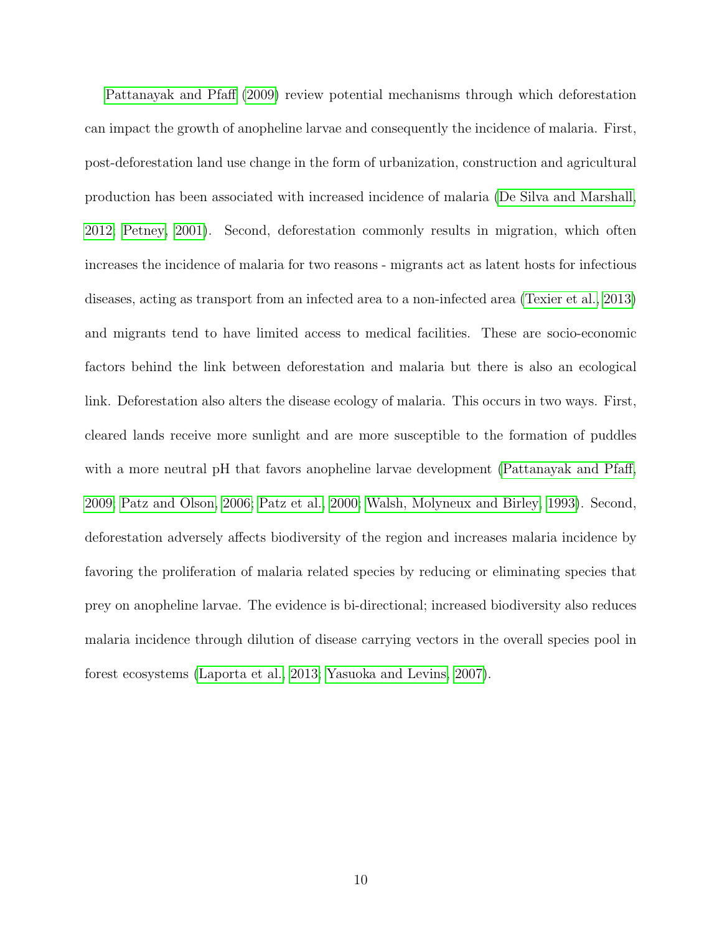[Pattanayak and Pfaff](#page-32-3) [\(2009\)](#page-32-3) review potential mechanisms through which deforestation can impact the growth of anopheline larvae and consequently the incidence of malaria. First, post-deforestation land use change in the form of urbanization, construction and agricultural production has been associated with increased incidence of malaria [\(De Silva and Marshall,](#page-29-6) [2012;](#page-29-6) [Petney, 2001\)](#page-32-10). Second, deforestation commonly results in migration, which often increases the incidence of malaria for two reasons - migrants act as latent hosts for infectious diseases, acting as transport from an infected area to a non-infected area [\(Texier et al., 2013\)](#page-32-11) and migrants tend to have limited access to medical facilities. These are socio-economic factors behind the link between deforestation and malaria but there is also an ecological link. Deforestation also alters the disease ecology of malaria. This occurs in two ways. First, cleared lands receive more sunlight and are more susceptible to the formation of puddles with a more neutral pH that favors anopheline larvae development [\(Pattanayak and Pfaff,](#page-32-3) [2009;](#page-32-3) [Patz and Olson, 2006;](#page-32-4) [Patz et al., 2000;](#page-32-5) [Walsh, Molyneux and Birley, 1993\)](#page-32-6). Second, deforestation adversely affects biodiversity of the region and increases malaria incidence by favoring the proliferation of malaria related species by reducing or eliminating species that prey on anopheline larvae. The evidence is bi-directional; increased biodiversity also reduces malaria incidence through dilution of disease carrying vectors in the overall species pool in forest ecosystems [\(Laporta et al., 2013;](#page-31-6) [Yasuoka and Levins, 2007\)](#page-32-8).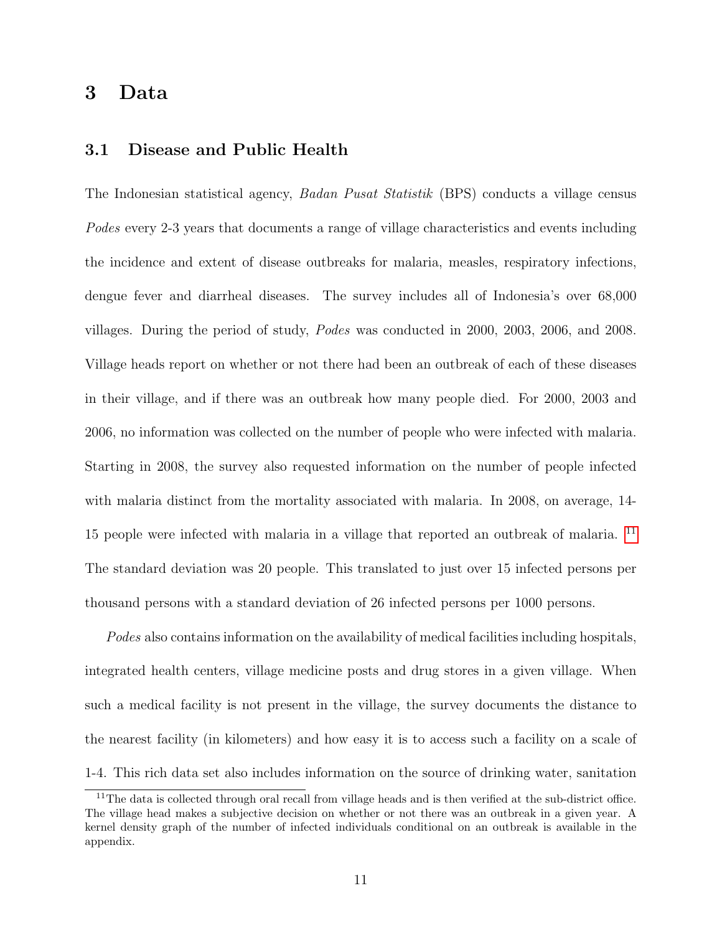## 3 Data

#### 3.1 Disease and Public Health

The Indonesian statistical agency, Badan Pusat Statistik (BPS) conducts a village census Podes every 2-3 years that documents a range of village characteristics and events including the incidence and extent of disease outbreaks for malaria, measles, respiratory infections, dengue fever and diarrheal diseases. The survey includes all of Indonesia's over 68,000 villages. During the period of study, Podes was conducted in 2000, 2003, 2006, and 2008. Village heads report on whether or not there had been an outbreak of each of these diseases in their village, and if there was an outbreak how many people died. For 2000, 2003 and 2006, no information was collected on the number of people who were infected with malaria. Starting in 2008, the survey also requested information on the number of people infected with malaria distinct from the mortality associated with malaria. In 2008, on average, 14- 15 people were infected with malaria in a village that reported an outbreak of malaria. [11](#page-0-0) The standard deviation was 20 people. This translated to just over 15 infected persons per thousand persons with a standard deviation of 26 infected persons per 1000 persons.

Podes also contains information on the availability of medical facilities including hospitals, integrated health centers, village medicine posts and drug stores in a given village. When such a medical facility is not present in the village, the survey documents the distance to the nearest facility (in kilometers) and how easy it is to access such a facility on a scale of 1-4. This rich data set also includes information on the source of drinking water, sanitation

<sup>&</sup>lt;sup>11</sup>The data is collected through oral recall from village heads and is then verified at the sub-district office. The village head makes a subjective decision on whether or not there was an outbreak in a given year. A kernel density graph of the number of infected individuals conditional on an outbreak is available in the appendix.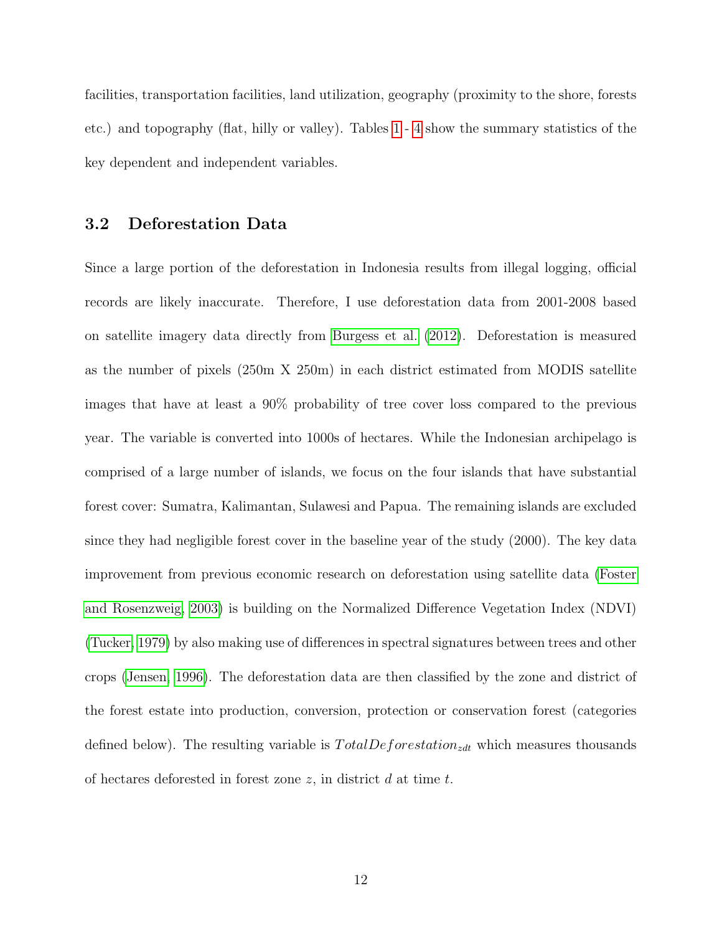facilities, transportation facilities, land utilization, geography (proximity to the shore, forests etc.) and topography (flat, hilly or valley). Tables [1](#page-34-0) - [4](#page-37-0) show the summary statistics of the key dependent and independent variables.

#### 3.2 Deforestation Data

Since a large portion of the deforestation in Indonesia results from illegal logging, official records are likely inaccurate. Therefore, I use deforestation data from 2001-2008 based on satellite imagery data directly from [Burgess et al.](#page-29-3) [\(2012\)](#page-29-3). Deforestation is measured as the number of pixels (250m X 250m) in each district estimated from MODIS satellite images that have at least a 90% probability of tree cover loss compared to the previous year. The variable is converted into 1000s of hectares. While the Indonesian archipelago is comprised of a large number of islands, we focus on the four islands that have substantial forest cover: Sumatra, Kalimantan, Sulawesi and Papua. The remaining islands are excluded since they had negligible forest cover in the baseline year of the study (2000). The key data improvement from previous economic research on deforestation using satellite data [\(Foster](#page-30-10) [and Rosenzweig, 2003\)](#page-30-10) is building on the Normalized Difference Vegetation Index (NDVI) [\(Tucker, 1979\)](#page-32-12) by also making use of differences in spectral signatures between trees and other crops [\(Jensen, 1996\)](#page-31-13). The deforestation data are then classified by the zone and district of the forest estate into production, conversion, protection or conservation forest (categories defined below). The resulting variable is  $TotalDeforestation_{zdt}$  which measures thousands of hectares deforested in forest zone  $z$ , in district  $d$  at time  $t$ .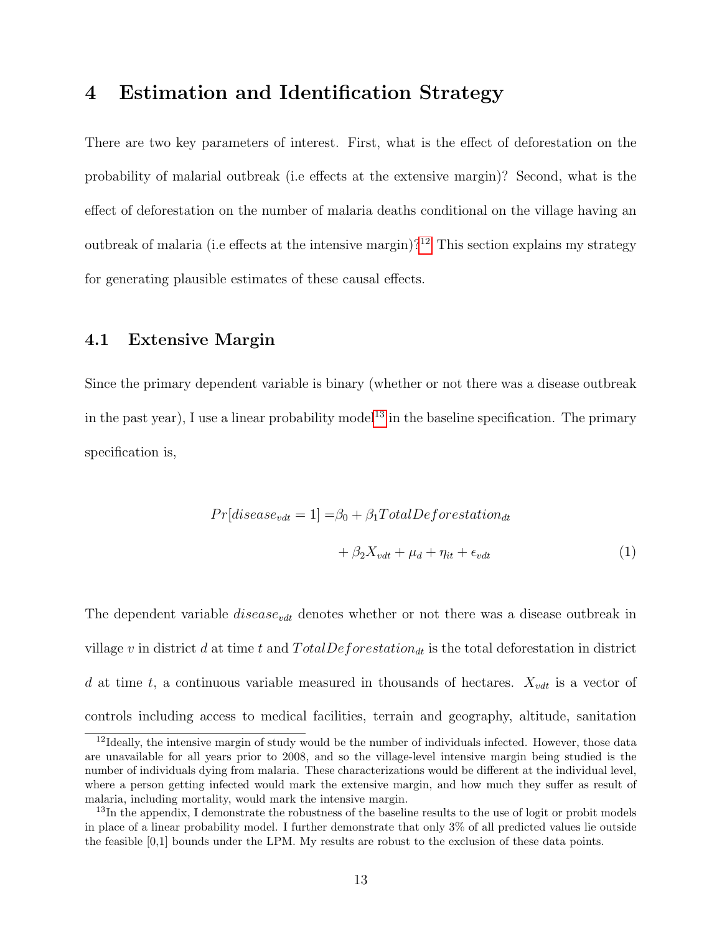## 4 Estimation and Identification Strategy

There are two key parameters of interest. First, what is the effect of deforestation on the probability of malarial outbreak (i.e effects at the extensive margin)? Second, what is the effect of deforestation on the number of malaria deaths conditional on the village having an outbreak of malaria (i.e effects at the intensive margin)?<sup>[12](#page-0-0)</sup> This section explains my strategy for generating plausible estimates of these causal effects.

#### 4.1 Extensive Margin

Since the primary dependent variable is binary (whether or not there was a disease outbreak in the past year), I use a linear probability model<sup>[13](#page-0-0)</sup> in the baseline specification. The primary specification is,

<span id="page-12-0"></span>
$$
Pr[discase_{vdt} = 1] = \beta_0 + \beta_1 Total Deforestation_{dt}
$$

$$
+ \beta_2 X_{vdt} + \mu_d + \eta_{it} + \epsilon_{vdt}
$$
(1)

The dependent variable  $disease_{vdt}$  denotes whether or not there was a disease outbreak in village v in district d at time t and  $TotalDefore station_{dt}$  is the total deforestation in district d at time t, a continuous variable measured in thousands of hectares.  $X_{vdt}$  is a vector of controls including access to medical facilities, terrain and geography, altitude, sanitation

<sup>&</sup>lt;sup>12</sup>Ideally, the intensive margin of study would be the number of individuals infected. However, those data are unavailable for all years prior to 2008, and so the village-level intensive margin being studied is the number of individuals dying from malaria. These characterizations would be different at the individual level, where a person getting infected would mark the extensive margin, and how much they suffer as result of malaria, including mortality, would mark the intensive margin.

<sup>&</sup>lt;sup>13</sup>In the appendix, I demonstrate the robustness of the baseline results to the use of logit or probit models in place of a linear probability model. I further demonstrate that only 3% of all predicted values lie outside the feasible [0,1] bounds under the LPM. My results are robust to the exclusion of these data points.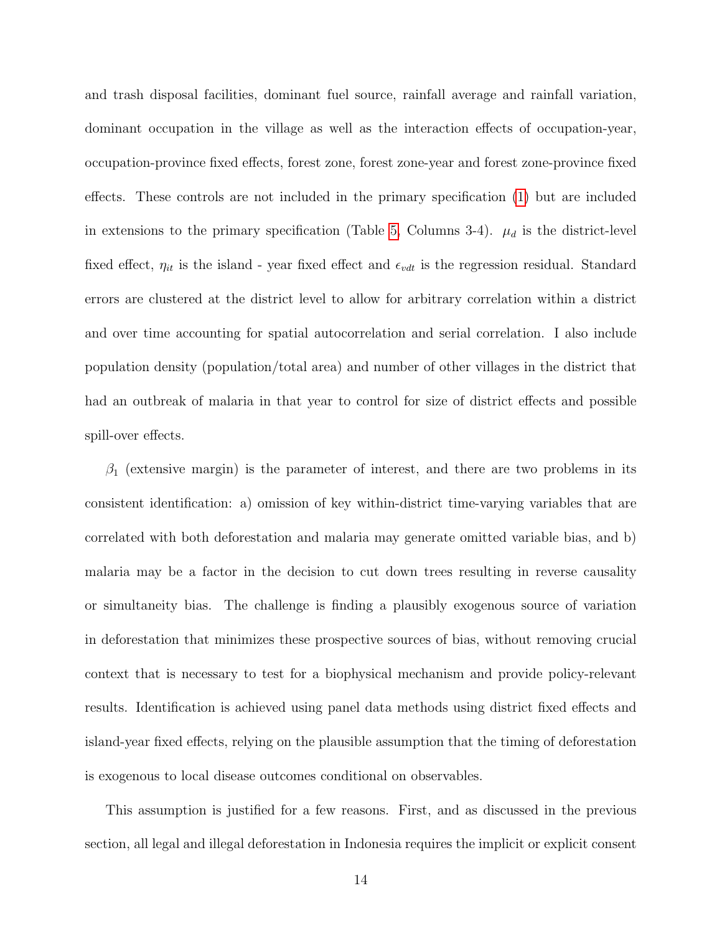and trash disposal facilities, dominant fuel source, rainfall average and rainfall variation, dominant occupation in the village as well as the interaction effects of occupation-year, occupation-province fixed effects, forest zone, forest zone-year and forest zone-province fixed effects. These controls are not included in the primary specification [\(1\)](#page-12-0) but are included in extensions to the primary specification (Table [5,](#page-38-0) Columns 3-4).  $\mu_d$  is the district-level fixed effect,  $\eta_{it}$  is the island - year fixed effect and  $\epsilon_{vdt}$  is the regression residual. Standard errors are clustered at the district level to allow for arbitrary correlation within a district and over time accounting for spatial autocorrelation and serial correlation. I also include population density (population/total area) and number of other villages in the district that had an outbreak of malaria in that year to control for size of district effects and possible spill-over effects.

 $\beta_1$  (extensive margin) is the parameter of interest, and there are two problems in its consistent identification: a) omission of key within-district time-varying variables that are correlated with both deforestation and malaria may generate omitted variable bias, and b) malaria may be a factor in the decision to cut down trees resulting in reverse causality or simultaneity bias. The challenge is finding a plausibly exogenous source of variation in deforestation that minimizes these prospective sources of bias, without removing crucial context that is necessary to test for a biophysical mechanism and provide policy-relevant results. Identification is achieved using panel data methods using district fixed effects and island-year fixed effects, relying on the plausible assumption that the timing of deforestation is exogenous to local disease outcomes conditional on observables.

This assumption is justified for a few reasons. First, and as discussed in the previous section, all legal and illegal deforestation in Indonesia requires the implicit or explicit consent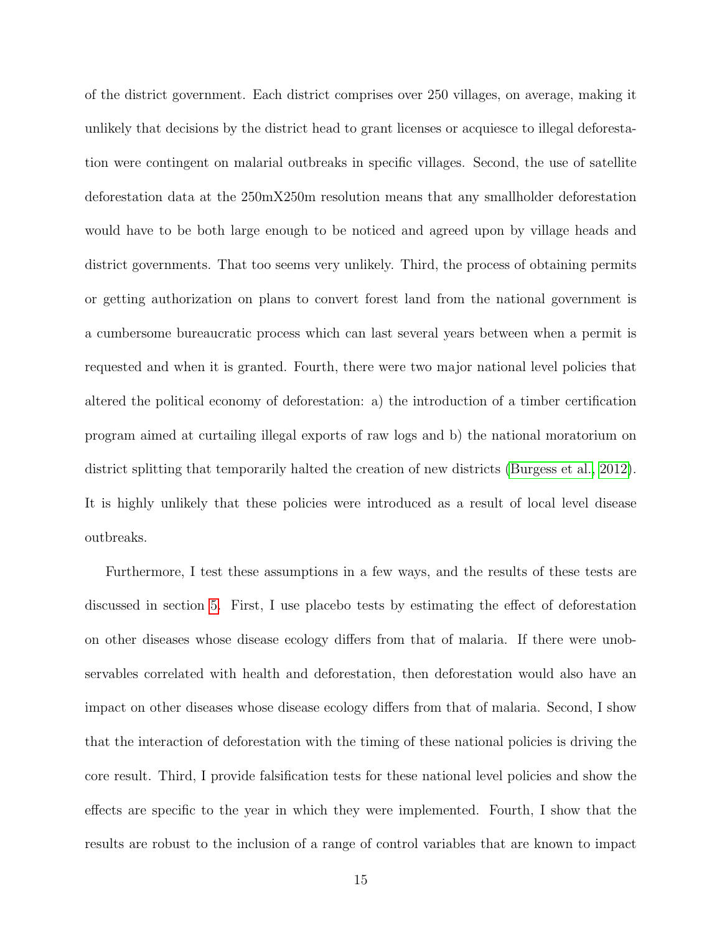of the district government. Each district comprises over 250 villages, on average, making it unlikely that decisions by the district head to grant licenses or acquiesce to illegal deforestation were contingent on malarial outbreaks in specific villages. Second, the use of satellite deforestation data at the 250mX250m resolution means that any smallholder deforestation would have to be both large enough to be noticed and agreed upon by village heads and district governments. That too seems very unlikely. Third, the process of obtaining permits or getting authorization on plans to convert forest land from the national government is a cumbersome bureaucratic process which can last several years between when a permit is requested and when it is granted. Fourth, there were two major national level policies that altered the political economy of deforestation: a) the introduction of a timber certification program aimed at curtailing illegal exports of raw logs and b) the national moratorium on district splitting that temporarily halted the creation of new districts [\(Burgess et al., 2012\)](#page-29-3). It is highly unlikely that these policies were introduced as a result of local level disease outbreaks.

Furthermore, I test these assumptions in a few ways, and the results of these tests are discussed in section [5.](#page-17-0) First, I use placebo tests by estimating the effect of deforestation on other diseases whose disease ecology differs from that of malaria. If there were unobservables correlated with health and deforestation, then deforestation would also have an impact on other diseases whose disease ecology differs from that of malaria. Second, I show that the interaction of deforestation with the timing of these national policies is driving the core result. Third, I provide falsification tests for these national level policies and show the effects are specific to the year in which they were implemented. Fourth, I show that the results are robust to the inclusion of a range of control variables that are known to impact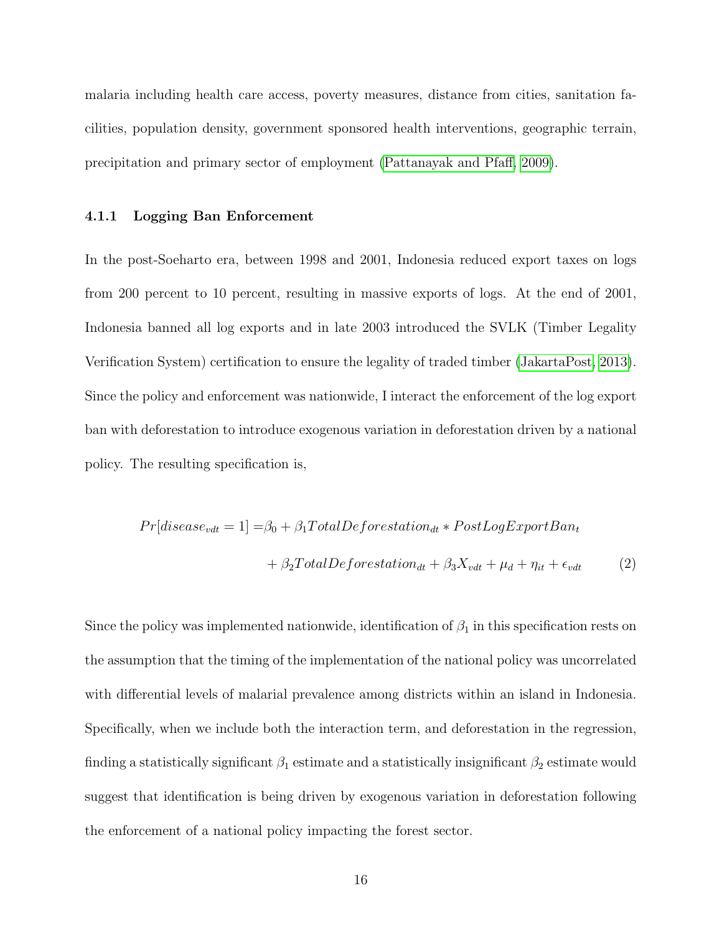malaria including health care access, poverty measures, distance from cities, sanitation facilities, population density, government sponsored health interventions, geographic terrain, precipitation and primary sector of employment [\(Pattanayak and Pfaff, 2009\)](#page-32-3).

#### 4.1.1 Logging Ban Enforcement

In the post-Soeharto era, between 1998 and 2001, Indonesia reduced export taxes on logs from 200 percent to 10 percent, resulting in massive exports of logs. At the end of 2001, Indonesia banned all log exports and in late 2003 introduced the SVLK (Timber Legality Verification System) certification to ensure the legality of traded timber [\(JakartaPost, 2013\)](#page-30-14). Since the policy and enforcement was nationwide, I interact the enforcement of the log export ban with deforestation to introduce exogenous variation in deforestation driven by a national policy. The resulting specification is,

$$
Pr[disease_{vdt} = 1] = \beta_0 + \beta_1 TotalDeforestation_{dt} * PostLogExportBan_t
$$

$$
+ \beta_2 TotalDeforestation_{dt} + \beta_3 X_{vdt} + \mu_d + \eta_{it} + \epsilon_{vdt}
$$
(2)

Since the policy was implemented nationwide, identification of  $\beta_1$  in this specification rests on the assumption that the timing of the implementation of the national policy was uncorrelated with differential levels of malarial prevalence among districts within an island in Indonesia. Specifically, when we include both the interaction term, and deforestation in the regression, finding a statistically significant  $\beta_1$  estimate and a statistically insignificant  $\beta_2$  estimate would suggest that identification is being driven by exogenous variation in deforestation following the enforcement of a national policy impacting the forest sector.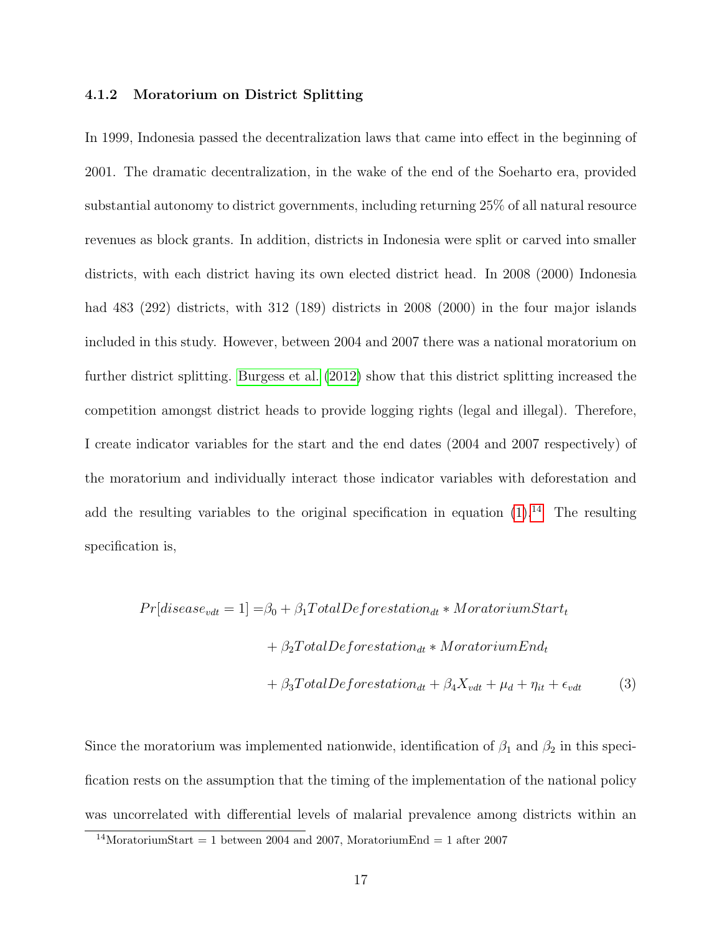#### 4.1.2 Moratorium on District Splitting

In 1999, Indonesia passed the decentralization laws that came into effect in the beginning of 2001. The dramatic decentralization, in the wake of the end of the Soeharto era, provided substantial autonomy to district governments, including returning 25% of all natural resource revenues as block grants. In addition, districts in Indonesia were split or carved into smaller districts, with each district having its own elected district head. In 2008 (2000) Indonesia had 483 (292) districts, with 312 (189) districts in 2008 (2000) in the four major islands included in this study. However, between 2004 and 2007 there was a national moratorium on further district splitting. [Burgess et al.](#page-29-3) [\(2012\)](#page-29-3) show that this district splitting increased the competition amongst district heads to provide logging rights (legal and illegal). Therefore, I create indicator variables for the start and the end dates (2004 and 2007 respectively) of the moratorium and individually interact those indicator variables with deforestation and add the resulting variables to the original specification in equation  $(1).^{14}$  $(1).^{14}$  $(1).^{14}$  $(1).^{14}$  The resulting specification is,

$$
Pr[discase_{vdt} = 1] = \beta_0 + \beta_1 Total Deforesitation_{dt} * MoratoriumStart_t
$$

$$
+ \beta_2 Total Deforesstation_{dt} * MoratoriumEnd_t
$$

$$
+ \beta_3 Total Deforesstation_{dt} + \beta_4 X_{vdt} + \mu_d + \eta_{it} + \epsilon_{vdt}
$$
(3)

Since the moratorium was implemented nationwide, identification of  $\beta_1$  and  $\beta_2$  in this specification rests on the assumption that the timing of the implementation of the national policy was uncorrelated with differential levels of malarial prevalence among districts within an

<sup>&</sup>lt;sup>14</sup>MoratoriumStart = 1 between 2004 and 2007, MoratoriumEnd = 1 after 2007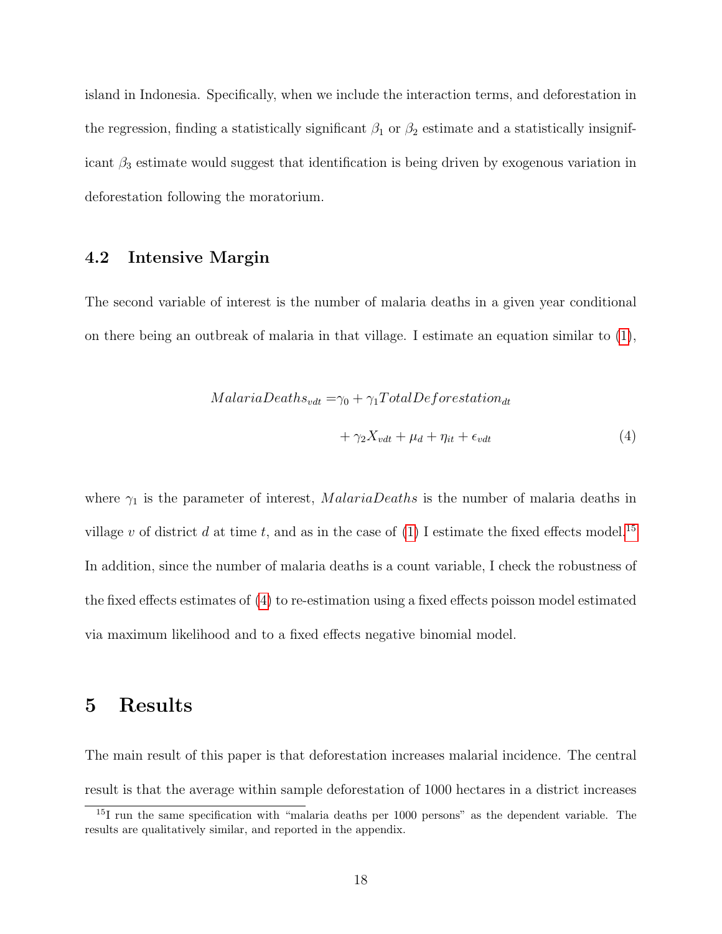island in Indonesia. Specifically, when we include the interaction terms, and deforestation in the regression, finding a statistically significant  $\beta_1$  or  $\beta_2$  estimate and a statistically insignificant  $\beta_3$  estimate would suggest that identification is being driven by exogenous variation in deforestation following the moratorium.

#### 4.2 Intensive Margin

The second variable of interest is the number of malaria deaths in a given year conditional on there being an outbreak of malaria in that village. I estimate an equation similar to [\(1\)](#page-12-0),

<span id="page-17-1"></span>
$$
Malaria Deaths_{vdt} = \gamma_0 + \gamma_1 Total Deforesitation_{dt}
$$

$$
+ \gamma_2 X_{vdt} + \mu_d + \eta_{it} + \epsilon_{vdt}
$$
(4)

where  $\gamma_1$  is the parameter of interest, *MalariaDeaths* is the number of malaria deaths in village v of district d at time t, and as in the case of [\(1\)](#page-12-0) I estimate the fixed effects model.<sup>[15](#page-0-0)</sup> In addition, since the number of malaria deaths is a count variable, I check the robustness of the fixed effects estimates of [\(4\)](#page-17-1) to re-estimation using a fixed effects poisson model estimated via maximum likelihood and to a fixed effects negative binomial model.

## <span id="page-17-0"></span>5 Results

The main result of this paper is that deforestation increases malarial incidence. The central result is that the average within sample deforestation of 1000 hectares in a district increases

<sup>&</sup>lt;sup>15</sup>I run the same specification with "malaria deaths per 1000 persons" as the dependent variable. The results are qualitatively similar, and reported in the appendix.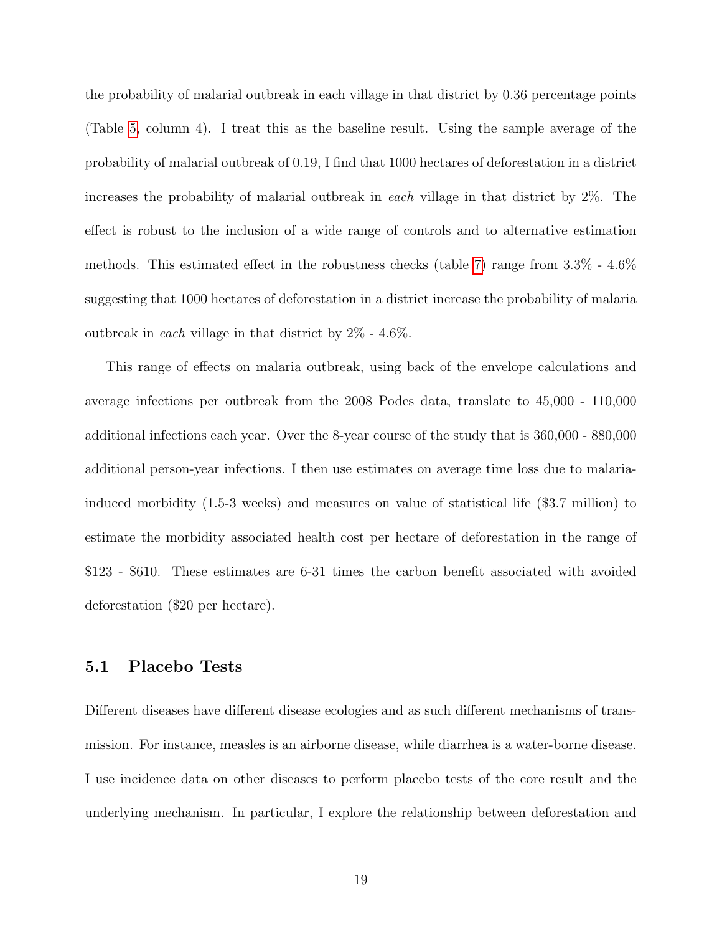the probability of malarial outbreak in each village in that district by 0.36 percentage points (Table [5,](#page-38-0) column 4). I treat this as the baseline result. Using the sample average of the probability of malarial outbreak of 0.19, I find that 1000 hectares of deforestation in a district increases the probability of malarial outbreak in each village in that district by 2%. The effect is robust to the inclusion of a wide range of controls and to alternative estimation methods. This estimated effect in the robustness checks (table [7\)](#page-40-0) range from 3.3% - 4.6% suggesting that 1000 hectares of deforestation in a district increase the probability of malaria outbreak in each village in that district by 2% - 4.6%.

This range of effects on malaria outbreak, using back of the envelope calculations and average infections per outbreak from the 2008 Podes data, translate to 45,000 - 110,000 additional infections each year. Over the 8-year course of the study that is 360,000 - 880,000 additional person-year infections. I then use estimates on average time loss due to malariainduced morbidity (1.5-3 weeks) and measures on value of statistical life (\$3.7 million) to estimate the morbidity associated health cost per hectare of deforestation in the range of \$123 - \$610. These estimates are 6-31 times the carbon benefit associated with avoided deforestation (\$20 per hectare).

#### 5.1 Placebo Tests

Different diseases have different disease ecologies and as such different mechanisms of transmission. For instance, measles is an airborne disease, while diarrhea is a water-borne disease. I use incidence data on other diseases to perform placebo tests of the core result and the underlying mechanism. In particular, I explore the relationship between deforestation and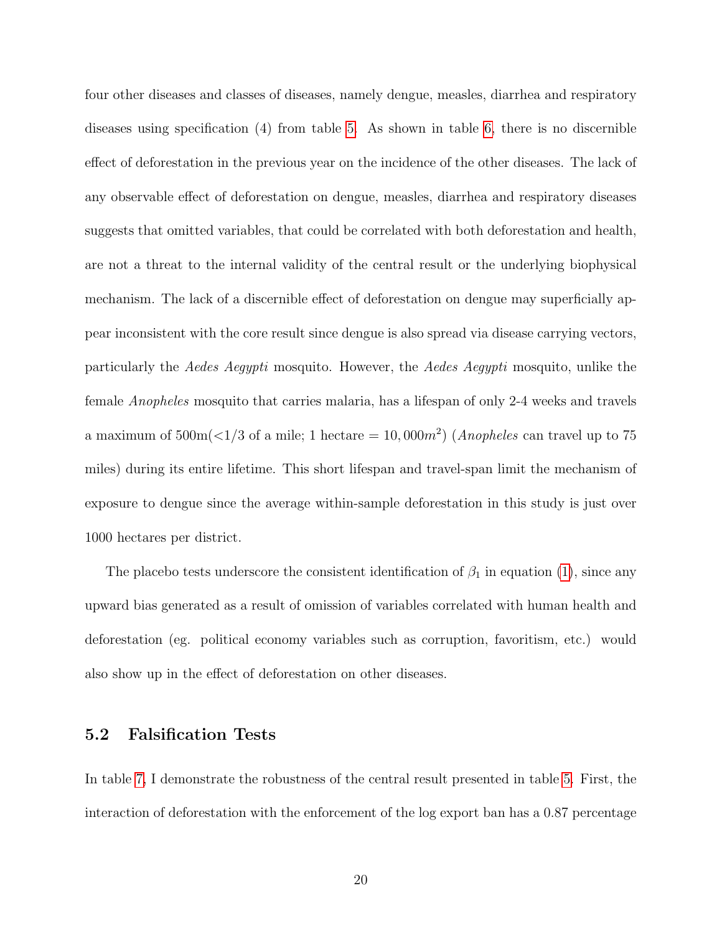four other diseases and classes of diseases, namely dengue, measles, diarrhea and respiratory diseases using specification (4) from table [5.](#page-38-0) As shown in table [6,](#page-39-0) there is no discernible effect of deforestation in the previous year on the incidence of the other diseases. The lack of any observable effect of deforestation on dengue, measles, diarrhea and respiratory diseases suggests that omitted variables, that could be correlated with both deforestation and health, are not a threat to the internal validity of the central result or the underlying biophysical mechanism. The lack of a discernible effect of deforestation on dengue may superficially appear inconsistent with the core result since dengue is also spread via disease carrying vectors, particularly the Aedes Aegypti mosquito. However, the Aedes Aegypti mosquito, unlike the female Anopheles mosquito that carries malaria, has a lifespan of only 2-4 weeks and travels a maximum of  $500\text{m}(<1/3$  of a mile; 1 hectare  $= 10,000m^2$ ) (*Anopheles* can travel up to 75 miles) during its entire lifetime. This short lifespan and travel-span limit the mechanism of exposure to dengue since the average within-sample deforestation in this study is just over 1000 hectares per district.

The placebo tests underscore the consistent identification of  $\beta_1$  in equation [\(1\)](#page-12-0), since any upward bias generated as a result of omission of variables correlated with human health and deforestation (eg. political economy variables such as corruption, favoritism, etc.) would also show up in the effect of deforestation on other diseases.

### <span id="page-19-0"></span>5.2 Falsification Tests

In table [7,](#page-40-0) I demonstrate the robustness of the central result presented in table [5.](#page-38-0) First, the interaction of deforestation with the enforcement of the log export ban has a 0.87 percentage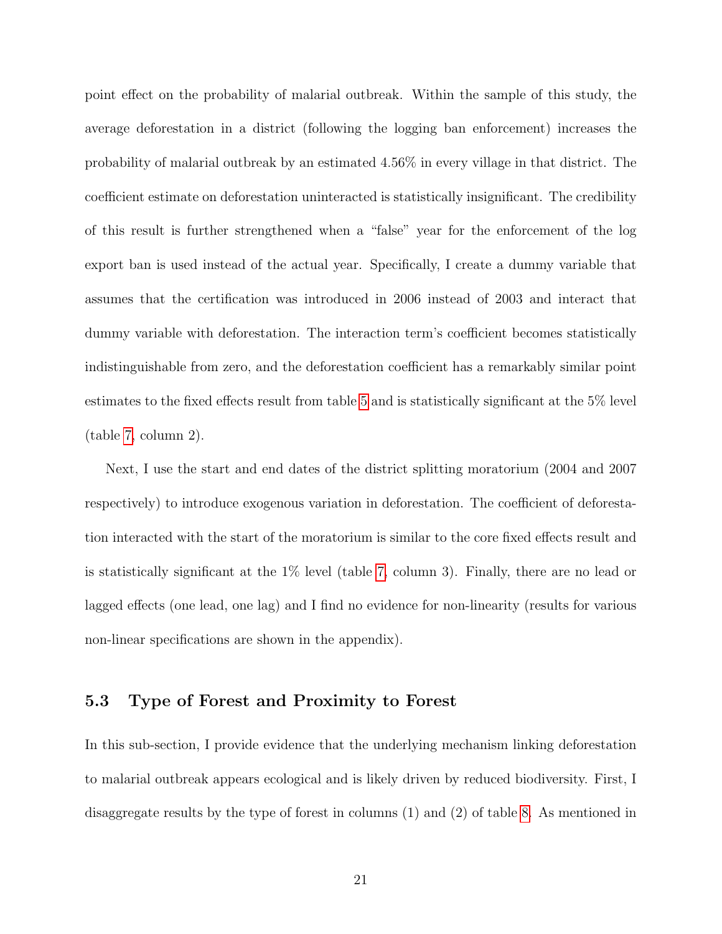point effect on the probability of malarial outbreak. Within the sample of this study, the average deforestation in a district (following the logging ban enforcement) increases the probability of malarial outbreak by an estimated 4.56% in every village in that district. The coefficient estimate on deforestation uninteracted is statistically insignificant. The credibility of this result is further strengthened when a "false" year for the enforcement of the log export ban is used instead of the actual year. Specifically, I create a dummy variable that assumes that the certification was introduced in 2006 instead of 2003 and interact that dummy variable with deforestation. The interaction term's coefficient becomes statistically indistinguishable from zero, and the deforestation coefficient has a remarkably similar point estimates to the fixed effects result from table [5](#page-38-0) and is statistically significant at the 5% level (table [7,](#page-40-0) column 2).

Next, I use the start and end dates of the district splitting moratorium (2004 and 2007 respectively) to introduce exogenous variation in deforestation. The coefficient of deforestation interacted with the start of the moratorium is similar to the core fixed effects result and is statistically significant at the  $1\%$  level (table [7,](#page-40-0) column 3). Finally, there are no lead or lagged effects (one lead, one lag) and I find no evidence for non-linearity (results for various non-linear specifications are shown in the appendix).

#### 5.3 Type of Forest and Proximity to Forest

In this sub-section, I provide evidence that the underlying mechanism linking deforestation to malarial outbreak appears ecological and is likely driven by reduced biodiversity. First, I disaggregate results by the type of forest in columns (1) and (2) of table [8.](#page-41-0) As mentioned in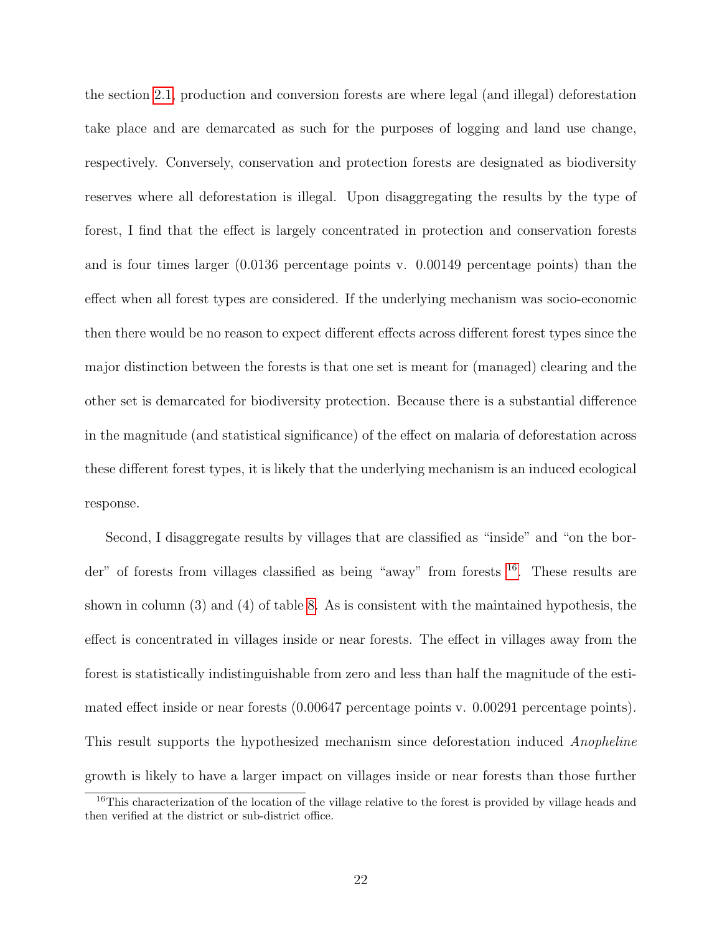the section [2.1,](#page-7-0) production and conversion forests are where legal (and illegal) deforestation take place and are demarcated as such for the purposes of logging and land use change, respectively. Conversely, conservation and protection forests are designated as biodiversity reserves where all deforestation is illegal. Upon disaggregating the results by the type of forest, I find that the effect is largely concentrated in protection and conservation forests and is four times larger (0.0136 percentage points v. 0.00149 percentage points) than the effect when all forest types are considered. If the underlying mechanism was socio-economic then there would be no reason to expect different effects across different forest types since the major distinction between the forests is that one set is meant for (managed) clearing and the other set is demarcated for biodiversity protection. Because there is a substantial difference in the magnitude (and statistical significance) of the effect on malaria of deforestation across these different forest types, it is likely that the underlying mechanism is an induced ecological response.

Second, I disaggregate results by villages that are classified as "inside" and "on the border" of forests from villages classified as being "away" from forests [16](#page-0-0). These results are shown in column (3) and (4) of table [8.](#page-41-0) As is consistent with the maintained hypothesis, the effect is concentrated in villages inside or near forests. The effect in villages away from the forest is statistically indistinguishable from zero and less than half the magnitude of the estimated effect inside or near forests (0.00647 percentage points v. 0.00291 percentage points). This result supports the hypothesized mechanism since deforestation induced Anopheline growth is likely to have a larger impact on villages inside or near forests than those further

<sup>&</sup>lt;sup>16</sup>This characterization of the location of the village relative to the forest is provided by village heads and then verified at the district or sub-district office.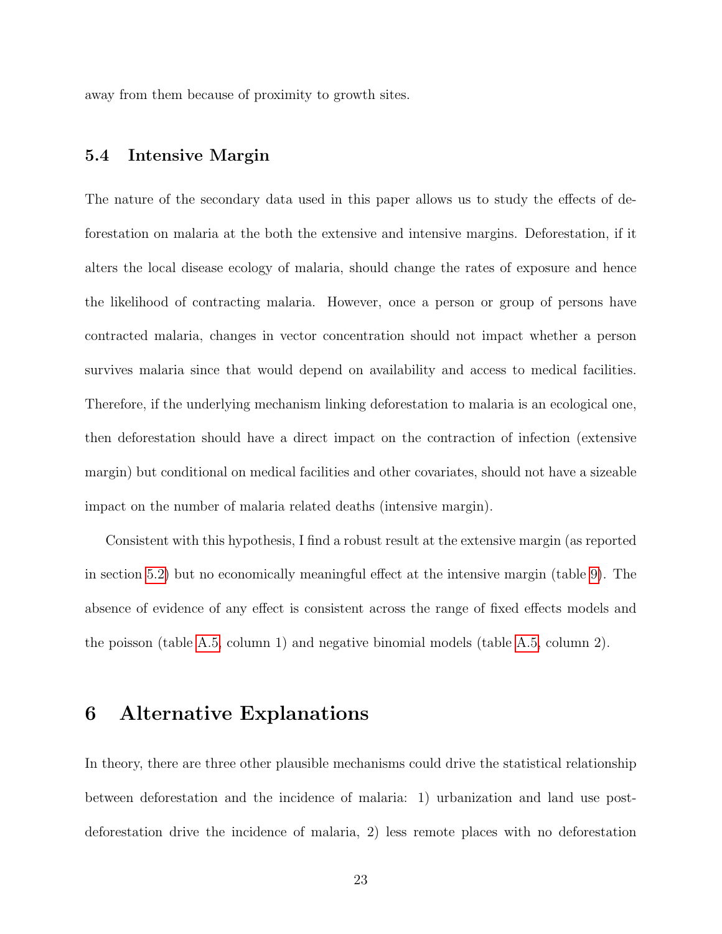away from them because of proximity to growth sites.

#### 5.4 Intensive Margin

The nature of the secondary data used in this paper allows us to study the effects of deforestation on malaria at the both the extensive and intensive margins. Deforestation, if it alters the local disease ecology of malaria, should change the rates of exposure and hence the likelihood of contracting malaria. However, once a person or group of persons have contracted malaria, changes in vector concentration should not impact whether a person survives malaria since that would depend on availability and access to medical facilities. Therefore, if the underlying mechanism linking deforestation to malaria is an ecological one, then deforestation should have a direct impact on the contraction of infection (extensive margin) but conditional on medical facilities and other covariates, should not have a sizeable impact on the number of malaria related deaths (intensive margin).

Consistent with this hypothesis, I find a robust result at the extensive margin (as reported in section [5.2\)](#page-19-0) but no economically meaningful effect at the intensive margin (table [9\)](#page-42-0). The absence of evidence of any effect is consistent across the range of fixed effects models and the poisson (table [A.5,](#page-38-0) column 1) and negative binomial models (table [A.5,](#page-38-0) column 2).

### 6 Alternative Explanations

In theory, there are three other plausible mechanisms could drive the statistical relationship between deforestation and the incidence of malaria: 1) urbanization and land use postdeforestation drive the incidence of malaria, 2) less remote places with no deforestation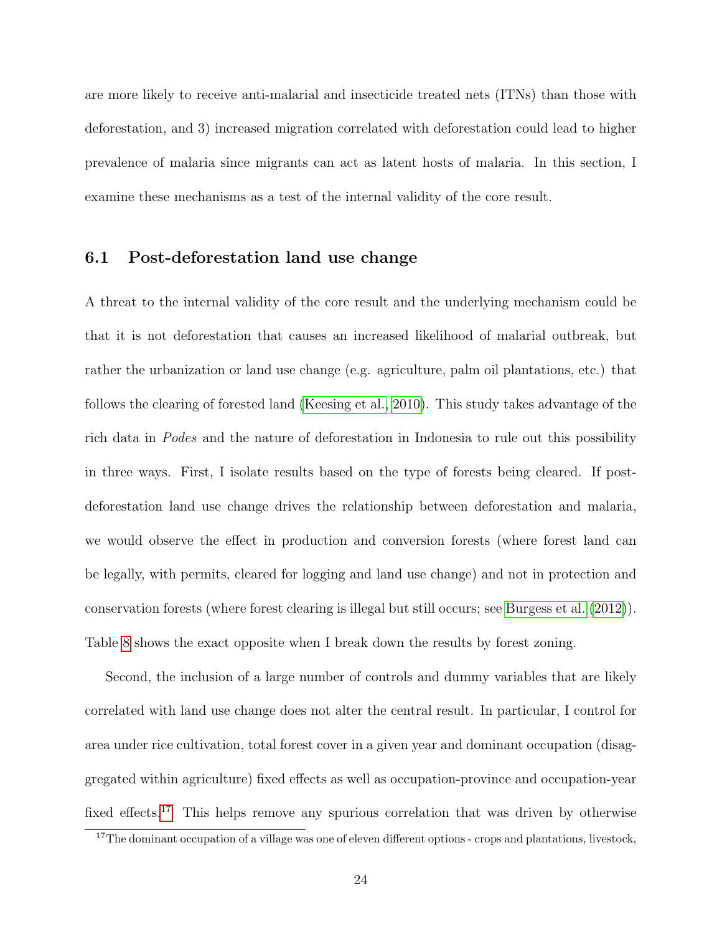are more likely to receive anti-malarial and insecticide treated nets (ITNs) than those with deforestation, and 3) increased migration correlated with deforestation could lead to higher prevalence of malaria since migrants can act as latent hosts of malaria. In this section, I examine these mechanisms as a test of the internal validity of the core result.

#### 6.1 Post-deforestation land use change

A threat to the internal validity of the core result and the underlying mechanism could be that it is not deforestation that causes an increased likelihood of malarial outbreak, but rather the urbanization or land use change (e.g. agriculture, palm oil plantations, etc.) that follows the clearing of forested land [\(Keesing et al., 2010\)](#page-31-8). This study takes advantage of the rich data in Podes and the nature of deforestation in Indonesia to rule out this possibility in three ways. First, I isolate results based on the type of forests being cleared. If postdeforestation land use change drives the relationship between deforestation and malaria, we would observe the effect in production and conversion forests (where forest land can be legally, with permits, cleared for logging and land use change) and not in protection and conservation forests (where forest clearing is illegal but still occurs; see [Burgess et al.](#page-29-3) [\(2012\)](#page-29-3)). Table [8](#page-41-0) shows the exact opposite when I break down the results by forest zoning.

Second, the inclusion of a large number of controls and dummy variables that are likely correlated with land use change does not alter the central result. In particular, I control for area under rice cultivation, total forest cover in a given year and dominant occupation (disaggregated within agriculture) fixed effects as well as occupation-province and occupation-year fixed effects.<sup>[17](#page-0-0)</sup> This helps remove any spurious correlation that was driven by otherwise

<sup>&</sup>lt;sup>17</sup>The dominant occupation of a village was one of eleven different options - crops and plantations, livestock,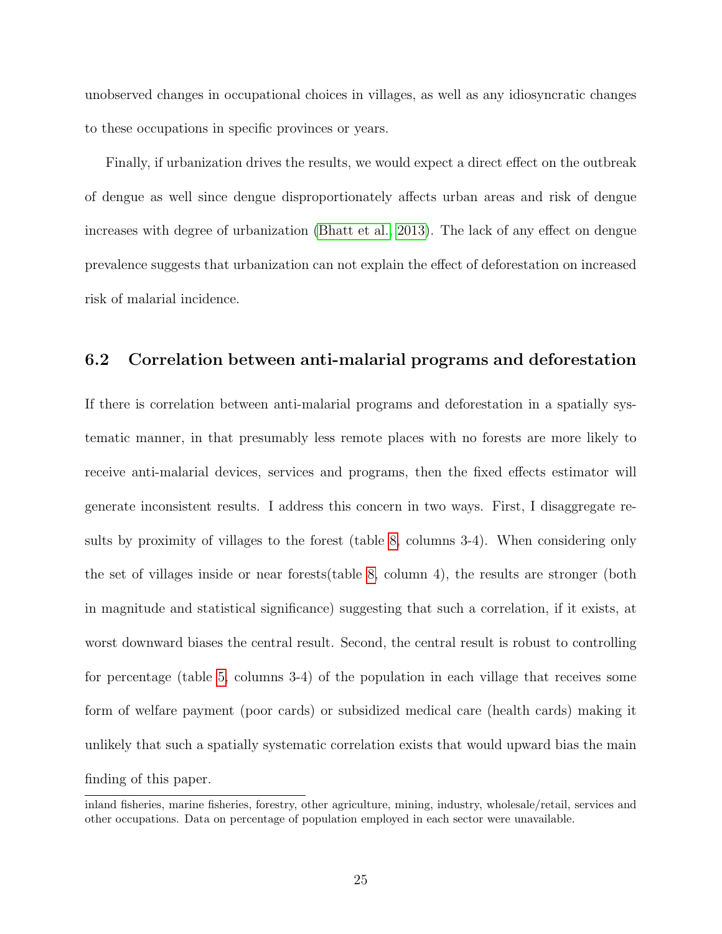unobserved changes in occupational choices in villages, as well as any idiosyncratic changes to these occupations in specific provinces or years.

Finally, if urbanization drives the results, we would expect a direct effect on the outbreak of dengue as well since dengue disproportionately affects urban areas and risk of dengue increases with degree of urbanization [\(Bhatt et al., 2013\)](#page-29-12). The lack of any effect on dengue prevalence suggests that urbanization can not explain the effect of deforestation on increased risk of malarial incidence.

### 6.2 Correlation between anti-malarial programs and deforestation

If there is correlation between anti-malarial programs and deforestation in a spatially systematic manner, in that presumably less remote places with no forests are more likely to receive anti-malarial devices, services and programs, then the fixed effects estimator will generate inconsistent results. I address this concern in two ways. First, I disaggregate results by proximity of villages to the forest (table [8,](#page-41-0) columns 3-4). When considering only the set of villages inside or near forests(table [8,](#page-41-0) column 4), the results are stronger (both in magnitude and statistical significance) suggesting that such a correlation, if it exists, at worst downward biases the central result. Second, the central result is robust to controlling for percentage (table [5,](#page-38-0) columns 3-4) of the population in each village that receives some form of welfare payment (poor cards) or subsidized medical care (health cards) making it unlikely that such a spatially systematic correlation exists that would upward bias the main finding of this paper.

inland fisheries, marine fisheries, forestry, other agriculture, mining, industry, wholesale/retail, services and other occupations. Data on percentage of population employed in each sector were unavailable.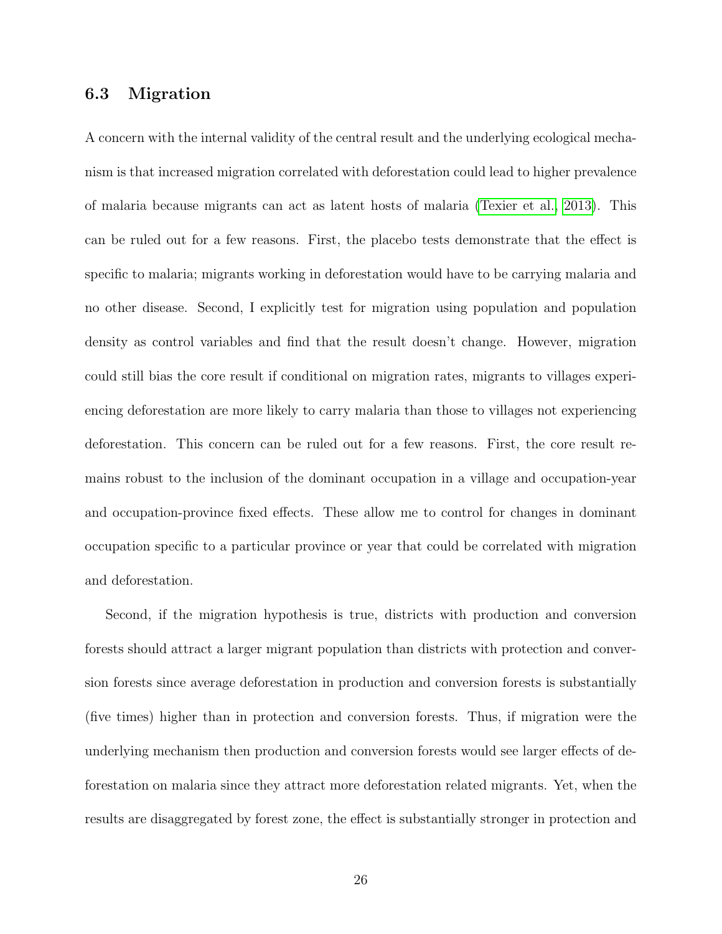#### 6.3 Migration

A concern with the internal validity of the central result and the underlying ecological mechanism is that increased migration correlated with deforestation could lead to higher prevalence of malaria because migrants can act as latent hosts of malaria [\(Texier et al., 2013\)](#page-32-11). This can be ruled out for a few reasons. First, the placebo tests demonstrate that the effect is specific to malaria; migrants working in deforestation would have to be carrying malaria and no other disease. Second, I explicitly test for migration using population and population density as control variables and find that the result doesn't change. However, migration could still bias the core result if conditional on migration rates, migrants to villages experiencing deforestation are more likely to carry malaria than those to villages not experiencing deforestation. This concern can be ruled out for a few reasons. First, the core result remains robust to the inclusion of the dominant occupation in a village and occupation-year and occupation-province fixed effects. These allow me to control for changes in dominant occupation specific to a particular province or year that could be correlated with migration and deforestation.

Second, if the migration hypothesis is true, districts with production and conversion forests should attract a larger migrant population than districts with protection and conversion forests since average deforestation in production and conversion forests is substantially (five times) higher than in protection and conversion forests. Thus, if migration were the underlying mechanism then production and conversion forests would see larger effects of deforestation on malaria since they attract more deforestation related migrants. Yet, when the results are disaggregated by forest zone, the effect is substantially stronger in protection and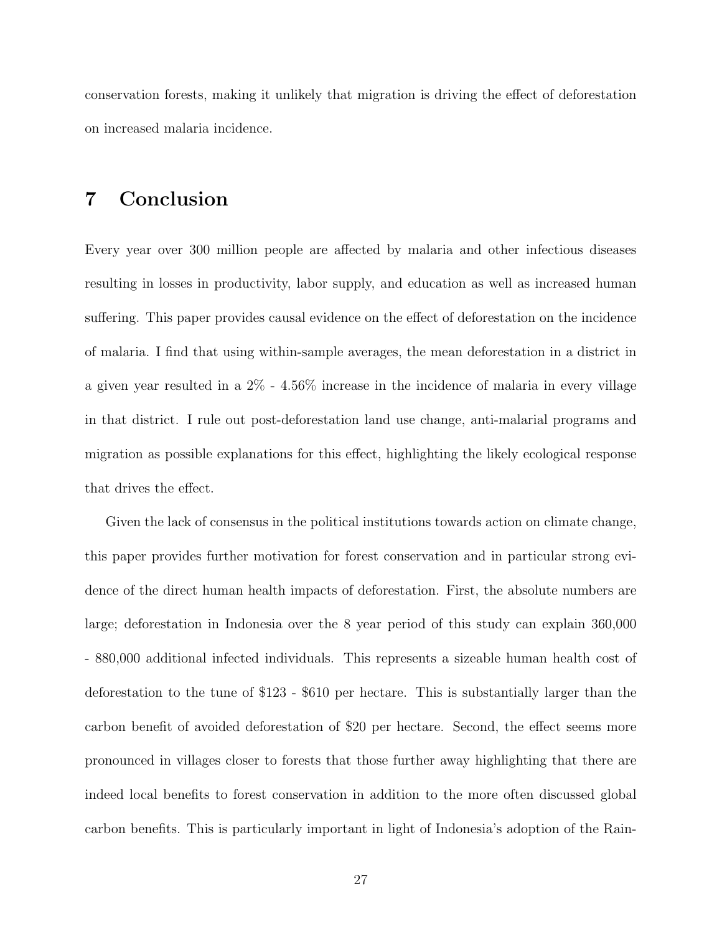conservation forests, making it unlikely that migration is driving the effect of deforestation on increased malaria incidence.

# 7 Conclusion

Every year over 300 million people are affected by malaria and other infectious diseases resulting in losses in productivity, labor supply, and education as well as increased human suffering. This paper provides causal evidence on the effect of deforestation on the incidence of malaria. I find that using within-sample averages, the mean deforestation in a district in a given year resulted in a 2% - 4.56% increase in the incidence of malaria in every village in that district. I rule out post-deforestation land use change, anti-malarial programs and migration as possible explanations for this effect, highlighting the likely ecological response that drives the effect.

Given the lack of consensus in the political institutions towards action on climate change, this paper provides further motivation for forest conservation and in particular strong evidence of the direct human health impacts of deforestation. First, the absolute numbers are large; deforestation in Indonesia over the 8 year period of this study can explain 360,000 - 880,000 additional infected individuals. This represents a sizeable human health cost of deforestation to the tune of \$123 - \$610 per hectare. This is substantially larger than the carbon benefit of avoided deforestation of \$20 per hectare. Second, the effect seems more pronounced in villages closer to forests that those further away highlighting that there are indeed local benefits to forest conservation in addition to the more often discussed global carbon benefits. This is particularly important in light of Indonesia's adoption of the Rain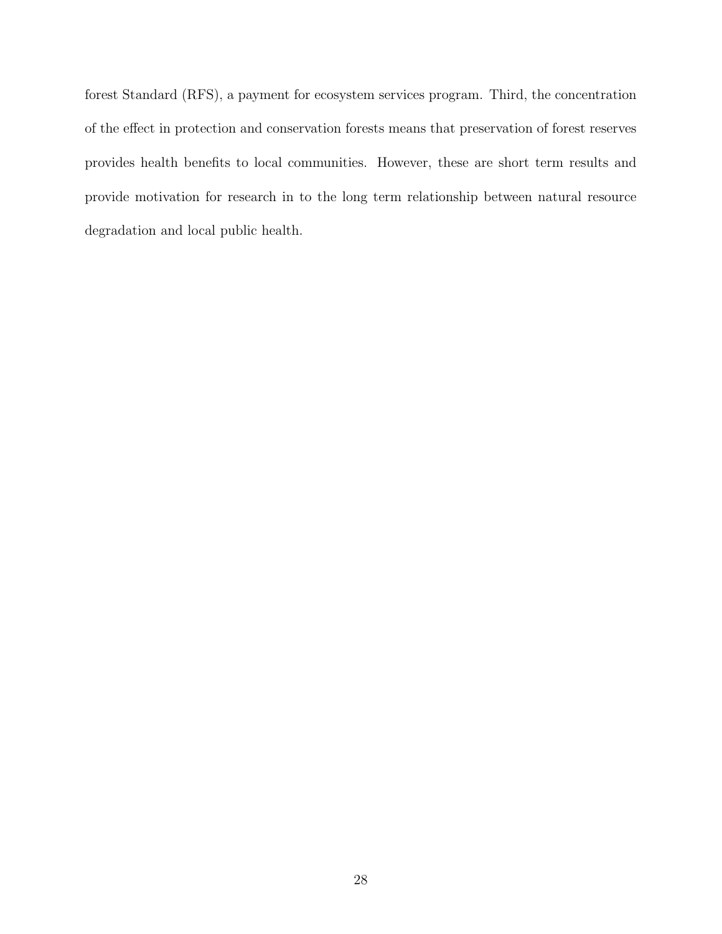forest Standard (RFS), a payment for ecosystem services program. Third, the concentration of the effect in protection and conservation forests means that preservation of forest reserves provides health benefits to local communities. However, these are short term results and provide motivation for research in to the long term relationship between natural resource degradation and local public health.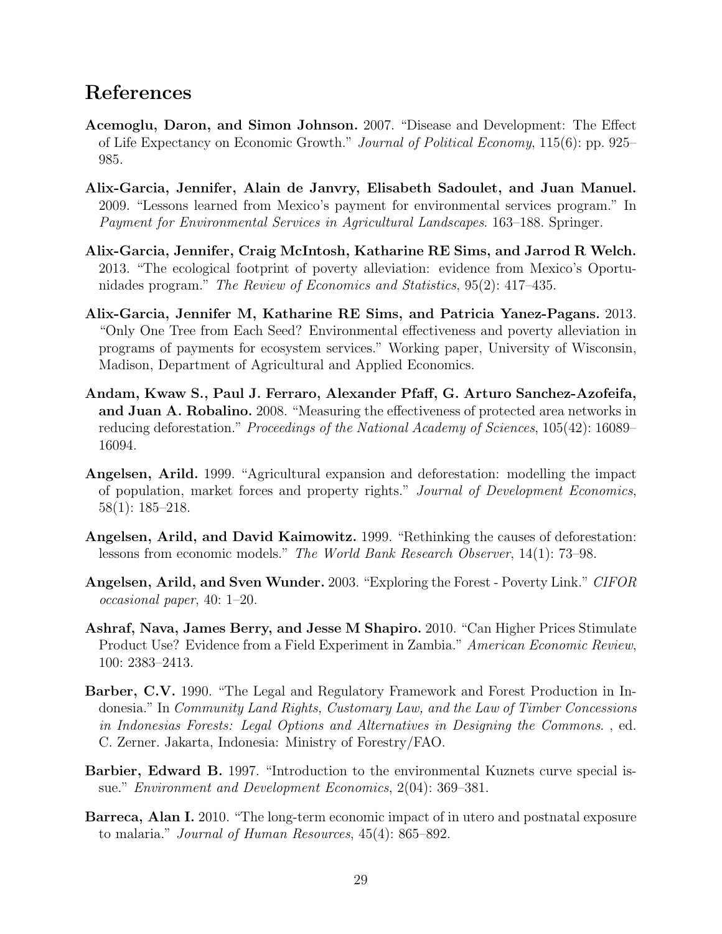## References

- <span id="page-28-0"></span>Acemoglu, Daron, and Simon Johnson. 2007. "Disease and Development: The Effect of Life Expectancy on Economic Growth." Journal of Political Economy, 115(6): pp. 925– 985.
- <span id="page-28-5"></span>Alix-Garcia, Jennifer, Alain de Janvry, Elisabeth Sadoulet, and Juan Manuel. 2009. "Lessons learned from Mexico's payment for environmental services program." In Payment for Environmental Services in Agricultural Landscapes. 163–188. Springer.
- <span id="page-28-3"></span>Alix-Garcia, Jennifer, Craig McIntosh, Katharine RE Sims, and Jarrod R Welch. 2013. "The ecological footprint of poverty alleviation: evidence from Mexico's Oportunidades program." The Review of Economics and Statistics, 95(2): 417–435.
- <span id="page-28-4"></span>Alix-Garcia, Jennifer M, Katharine RE Sims, and Patricia Yanez-Pagans. 2013. "Only One Tree from Each Seed? Environmental effectiveness and poverty alleviation in programs of payments for ecosystem services." Working paper, University of Wisconsin, Madison, Department of Agricultural and Applied Economics.
- <span id="page-28-6"></span>Andam, Kwaw S., Paul J. Ferraro, Alexander Pfaff, G. Arturo Sanchez-Azofeifa, and Juan A. Robalino. 2008. "Measuring the effectiveness of protected area networks in reducing deforestation." Proceedings of the National Academy of Sciences, 105(42): 16089– 16094.
- <span id="page-28-8"></span>Angelsen, Arild. 1999. "Agricultural expansion and deforestation: modelling the impact of population, market forces and property rights." Journal of Development Economics, 58(1): 185–218.
- <span id="page-28-9"></span>Angelsen, Arild, and David Kaimowitz. 1999. "Rethinking the causes of deforestation: lessons from economic models." The World Bank Research Observer, 14(1): 73–98.
- <span id="page-28-7"></span>Angelsen, Arild, and Sven Wunder. 2003. "Exploring the Forest - Poverty Link." CIFOR occasional paper, 40: 1–20.
- <span id="page-28-2"></span>Ashraf, Nava, James Berry, and Jesse M Shapiro. 2010. "Can Higher Prices Stimulate Product Use? Evidence from a Field Experiment in Zambia." American Economic Review, 100: 2383–2413.
- <span id="page-28-11"></span>Barber, C.V. 1990. "The Legal and Regulatory Framework and Forest Production in Indonesia." In Community Land Rights, Customary Law, and the Law of Timber Concessions in Indonesias Forests: Legal Options and Alternatives in Designing the Commons. , ed. C. Zerner. Jakarta, Indonesia: Ministry of Forestry/FAO.
- <span id="page-28-10"></span>Barbier, Edward B. 1997. "Introduction to the environmental Kuznets curve special issue." Environment and Development Economics, 2(04): 369–381.
- <span id="page-28-1"></span>Barreca, Alan I. 2010. "The long-term economic impact of in utero and postnatal exposure to malaria." Journal of Human Resources, 45(4): 865–892.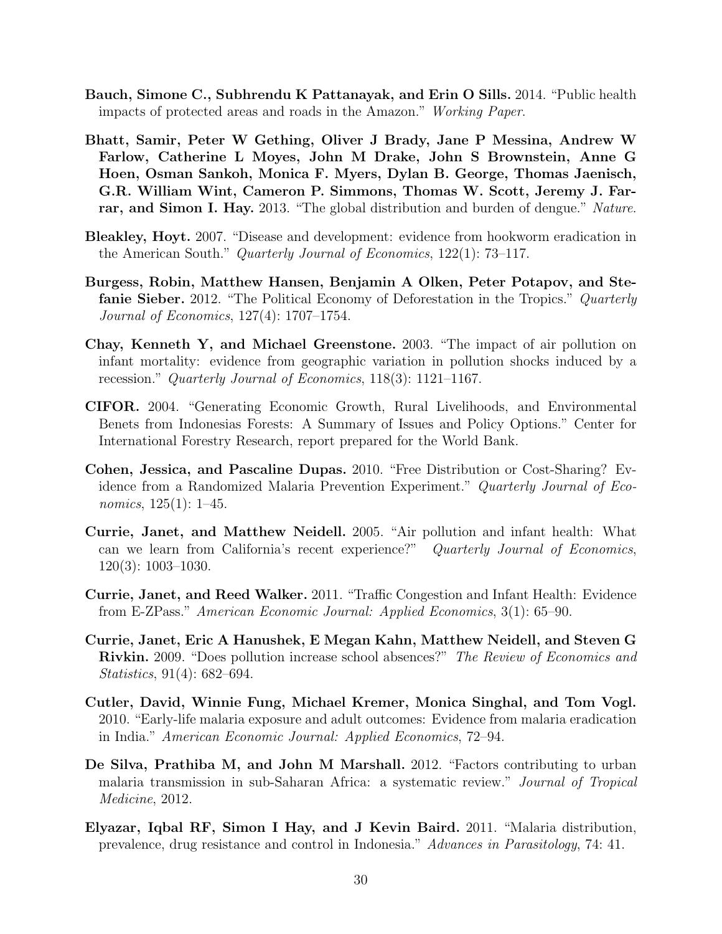- <span id="page-29-5"></span>Bauch, Simone C., Subhrendu K Pattanayak, and Erin O Sills. 2014. "Public health impacts of protected areas and roads in the Amazon." Working Paper.
- <span id="page-29-12"></span>Bhatt, Samir, Peter W Gething, Oliver J Brady, Jane P Messina, Andrew W Farlow, Catherine L Moyes, John M Drake, John S Brownstein, Anne G Hoen, Osman Sankoh, Monica F. Myers, Dylan B. George, Thomas Jaenisch, G.R. William Wint, Cameron P. Simmons, Thomas W. Scott, Jeremy J. Farrar, and Simon I. Hay. 2013. "The global distribution and burden of dengue." Nature.
- <span id="page-29-0"></span>Bleakley, Hoyt. 2007. "Disease and development: evidence from hookworm eradication in the American South." Quarterly Journal of Economics, 122(1): 73–117.
- <span id="page-29-3"></span>Burgess, Robin, Matthew Hansen, Benjamin A Olken, Peter Potapov, and Stefanie Sieber. 2012. "The Political Economy of Deforestation in the Tropics." Quarterly Journal of Economics, 127(4): 1707–1754.
- <span id="page-29-9"></span>Chay, Kenneth Y, and Michael Greenstone. 2003. "The impact of air pollution on infant mortality: evidence from geographic variation in pollution shocks induced by a recession." Quarterly Journal of Economics, 118(3): 1121–1167.
- <span id="page-29-11"></span>CIFOR. 2004. "Generating Economic Growth, Rural Livelihoods, and Environmental Benets from Indonesias Forests: A Summary of Issues and Policy Options." Center for International Forestry Research, report prepared for the World Bank.
- <span id="page-29-2"></span>Cohen, Jessica, and Pascaline Dupas. 2010. "Free Distribution or Cost-Sharing? Evidence from a Randomized Malaria Prevention Experiment." Quarterly Journal of Economics, 125(1): 1–45.
- <span id="page-29-8"></span>Currie, Janet, and Matthew Neidell. 2005. "Air pollution and infant health: What can we learn from California's recent experience?" Quarterly Journal of Economics, 120(3): 1003–1030.
- <span id="page-29-7"></span>Currie, Janet, and Reed Walker. 2011. "Traffic Congestion and Infant Health: Evidence from E-ZPass." American Economic Journal: Applied Economics, 3(1): 65–90.
- <span id="page-29-10"></span>Currie, Janet, Eric A Hanushek, E Megan Kahn, Matthew Neidell, and Steven G Rivkin. 2009. "Does pollution increase school absences?" The Review of Economics and Statistics, 91(4): 682–694.
- <span id="page-29-1"></span>Cutler, David, Winnie Fung, Michael Kremer, Monica Singhal, and Tom Vogl. 2010. "Early-life malaria exposure and adult outcomes: Evidence from malaria eradication in India." American Economic Journal: Applied Economics, 72–94.
- <span id="page-29-6"></span>De Silva, Prathiba M, and John M Marshall. 2012. "Factors contributing to urban malaria transmission in sub-Saharan Africa: a systematic review." Journal of Tropical Medicine, 2012.
- <span id="page-29-4"></span>Elyazar, Iqbal RF, Simon I Hay, and J Kevin Baird. 2011. "Malaria distribution, prevalence, drug resistance and control in Indonesia." Advances in Parasitology, 74: 41.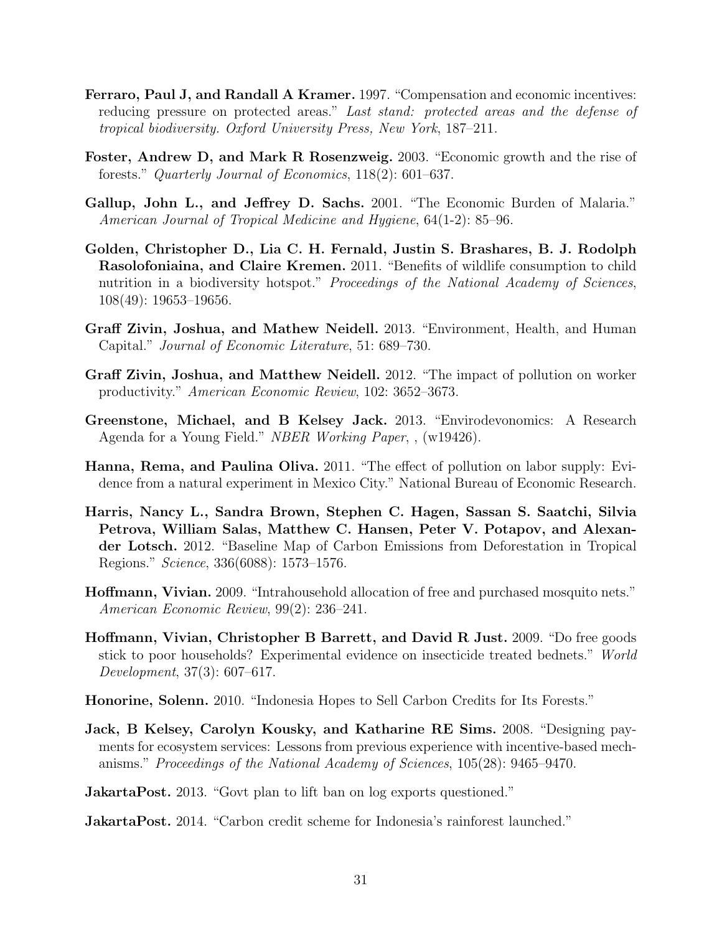- <span id="page-30-11"></span>Ferraro, Paul J, and Randall A Kramer. 1997. "Compensation and economic incentives: reducing pressure on protected areas." Last stand: protected areas and the defense of tropical biodiversity. Oxford University Press, New York, 187–211.
- <span id="page-30-10"></span>Foster, Andrew D, and Mark R Rosenzweig. 2003. "Economic growth and the rise of forests." Quarterly Journal of Economics, 118(2): 601–637.
- <span id="page-30-0"></span>Gallup, John L., and Jeffrey D. Sachs. 2001. "The Economic Burden of Malaria." American Journal of Tropical Medicine and Hygiene, 64(1-2): 85–96.
- <span id="page-30-8"></span>Golden, Christopher D., Lia C. H. Fernald, Justin S. Brashares, B. J. Rodolph Rasolofoniaina, and Claire Kremen. 2011. "Benefits of wildlife consumption to child nutrition in a biodiversity hotspot." Proceedings of the National Academy of Sciences, 108(49): 19653–19656.
- <span id="page-30-3"></span>Graff Zivin, Joshua, and Mathew Neidell. 2013. "Environment, Health, and Human Capital." Journal of Economic Literature, 51: 689–730.
- <span id="page-30-6"></span>Graff Zivin, Joshua, and Matthew Neidell. 2012. "The impact of pollution on worker productivity." American Economic Review, 102: 3652–3673.
- <span id="page-30-4"></span>Greenstone, Michael, and B Kelsey Jack. 2013. "Envirodevonomics: A Research Agenda for a Young Field." NBER Working Paper, , (w19426).
- <span id="page-30-7"></span>Hanna, Rema, and Paulina Oliva. 2011. "The effect of pollution on labor supply: Evidence from a natural experiment in Mexico City." National Bureau of Economic Research.
- <span id="page-30-12"></span>Harris, Nancy L., Sandra Brown, Stephen C. Hagen, Sassan S. Saatchi, Silvia Petrova, William Salas, Matthew C. Hansen, Peter V. Potapov, and Alexander Lotsch. 2012. "Baseline Map of Carbon Emissions from Deforestation in Tropical Regions." Science, 336(6088): 1573–1576.
- <span id="page-30-1"></span>Hoffmann, Vivian. 2009. "Intrahousehold allocation of free and purchased mosquito nets." American Economic Review, 99(2): 236–241.
- <span id="page-30-2"></span>Hoffmann, Vivian, Christopher B Barrett, and David R Just. 2009. "Do free goods stick to poor households? Experimental evidence on insecticide treated bednets." World Development, 37(3): 607–617.
- <span id="page-30-5"></span>Honorine, Solenn. 2010. "Indonesia Hopes to Sell Carbon Credits for Its Forests."
- <span id="page-30-9"></span>Jack, B Kelsey, Carolyn Kousky, and Katharine RE Sims. 2008. "Designing payments for ecosystem services: Lessons from previous experience with incentive-based mechanisms." Proceedings of the National Academy of Sciences, 105(28): 9465–9470.

<span id="page-30-14"></span>**JakartaPost.** 2013. "Govt plan to lift ban on log exports questioned."

<span id="page-30-13"></span>JakartaPost. 2014. "Carbon credit scheme for Indonesia's rainforest launched."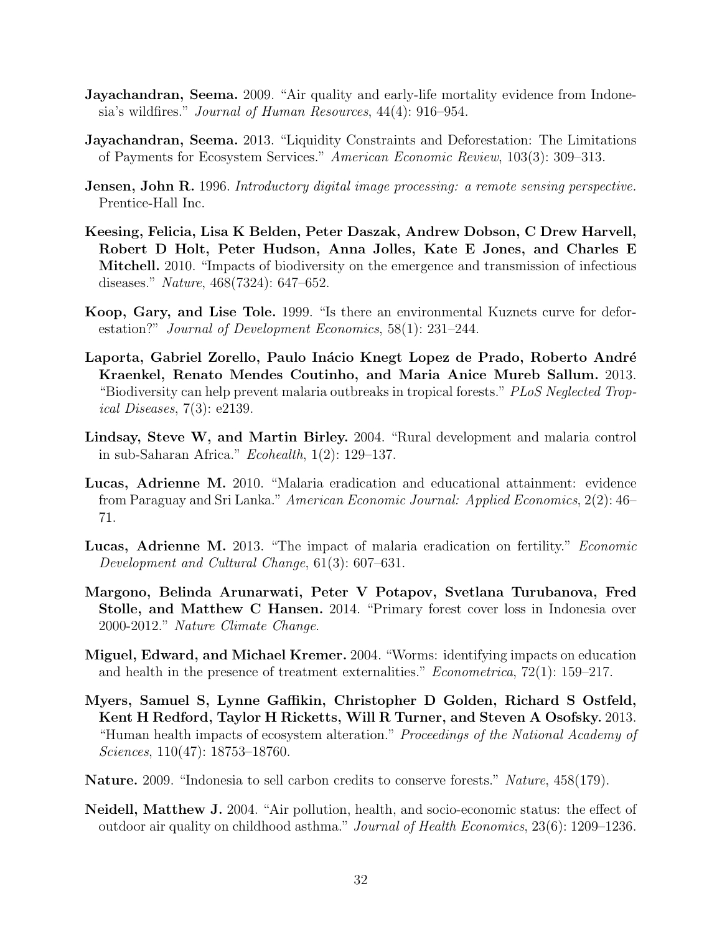- <span id="page-31-9"></span>**Jayachandran, Seema.** 2009. "Air quality and early-life mortality evidence from Indonesia's wildfires." Journal of Human Resources, 44(4): 916–954.
- <span id="page-31-11"></span>Jayachandran, Seema. 2013. "Liquidity Constraints and Deforestation: The Limitations of Payments for Ecosystem Services." American Economic Review, 103(3): 309–313.
- <span id="page-31-13"></span>**Jensen, John R.** 1996. Introductory digital image processing: a remote sensing perspective. Prentice-Hall Inc.
- <span id="page-31-8"></span>Keesing, Felicia, Lisa K Belden, Peter Daszak, Andrew Dobson, C Drew Harvell, Robert D Holt, Peter Hudson, Anna Jolles, Kate E Jones, and Charles E Mitchell. 2010. "Impacts of biodiversity on the emergence and transmission of infectious diseases." Nature, 468(7324): 647–652.
- <span id="page-31-12"></span>Koop, Gary, and Lise Tole. 1999. "Is there an environmental Kuznets curve for deforestation?" Journal of Development Economics, 58(1): 231–244.
- <span id="page-31-6"></span>Laporta, Gabriel Zorello, Paulo Inácio Knegt Lopez de Prado, Roberto André Kraenkel, Renato Mendes Coutinho, and Maria Anice Mureb Sallum. 2013. "Biodiversity can help prevent malaria outbreaks in tropical forests." PLoS Neglected Tropical Diseases, 7(3): e2139.
- <span id="page-31-3"></span>Lindsay, Steve W, and Martin Birley. 2004. "Rural development and malaria control in sub-Saharan Africa." Ecohealth, 1(2): 129–137.
- <span id="page-31-0"></span>Lucas, Adrienne M. 2010. "Malaria eradication and educational attainment: evidence from Paraguay and Sri Lanka." American Economic Journal: Applied Economics, 2(2): 46– 71.
- <span id="page-31-2"></span>Lucas, Adrienne M. 2013. "The impact of malaria eradication on fertility." Economic Development and Cultural Change, 61(3): 607–631.
- <span id="page-31-4"></span>Margono, Belinda Arunarwati, Peter V Potapov, Svetlana Turubanova, Fred Stolle, and Matthew C Hansen. 2014. "Primary forest cover loss in Indonesia over 2000-2012." Nature Climate Change.
- <span id="page-31-1"></span>Miguel, Edward, and Michael Kremer. 2004. "Worms: identifying impacts on education and health in the presence of treatment externalities." Econometrica, 72(1): 159–217.
- <span id="page-31-7"></span>Myers, Samuel S, Lynne Gaffikin, Christopher D Golden, Richard S Ostfeld, Kent H Redford, Taylor H Ricketts, Will R Turner, and Steven A Osofsky. 2013. "Human health impacts of ecosystem alteration." Proceedings of the National Academy of Sciences, 110(47): 18753–18760.
- <span id="page-31-5"></span>Nature. 2009. "Indonesia to sell carbon credits to conserve forests." Nature, 458(179).
- <span id="page-31-10"></span>Neidell, Matthew J. 2004. "Air pollution, health, and socio-economic status: the effect of outdoor air quality on childhood asthma." Journal of Health Economics, 23(6): 1209–1236.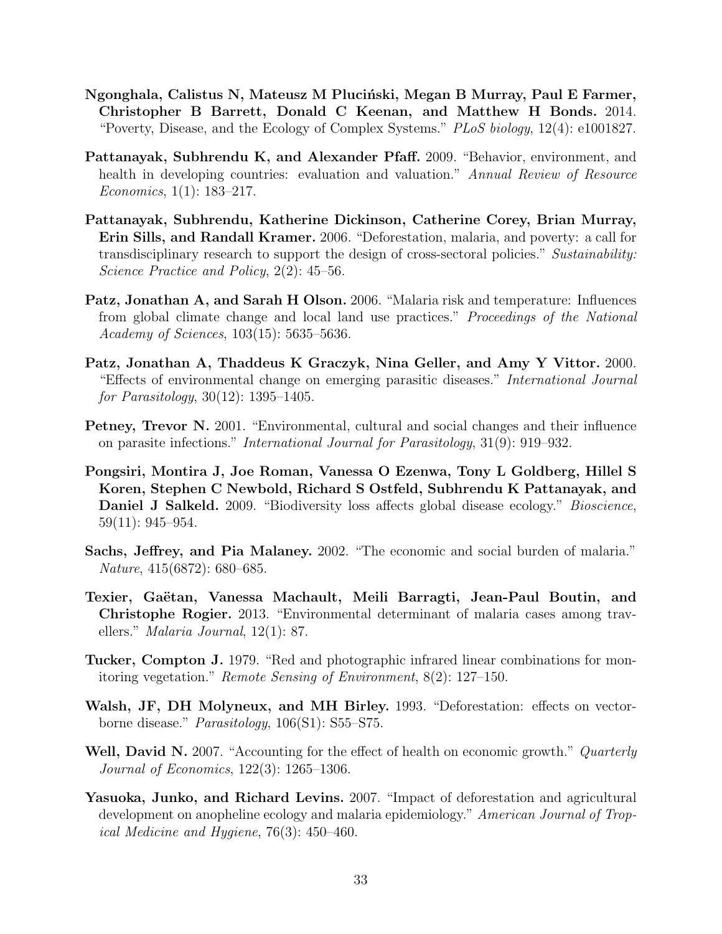- <span id="page-32-2"></span>Ngonghala, Calistus N, Mateusz M Pluciński, Megan B Murray, Paul E Farmer, Christopher B Barrett, Donald C Keenan, and Matthew H Bonds. 2014. "Poverty, Disease, and the Ecology of Complex Systems." PLoS biology, 12(4): e1001827.
- <span id="page-32-3"></span>Pattanayak, Subhrendu K, and Alexander Pfaff. 2009. "Behavior, environment, and health in developing countries: evaluation and valuation." Annual Review of Resource Economics, 1(1): 183–217.
- <span id="page-32-7"></span>Pattanayak, Subhrendu, Katherine Dickinson, Catherine Corey, Brian Murray, Erin Sills, and Randall Kramer. 2006. "Deforestation, malaria, and poverty: a call for transdisciplinary research to support the design of cross-sectoral policies." Sustainability: Science Practice and Policy, 2(2): 45–56.
- <span id="page-32-4"></span>Patz, Jonathan A, and Sarah H Olson. 2006. "Malaria risk and temperature: Influences from global climate change and local land use practices." Proceedings of the National Academy of Sciences, 103(15): 5635–5636.
- <span id="page-32-5"></span>Patz, Jonathan A, Thaddeus K Graczyk, Nina Geller, and Amy Y Vittor. 2000. "Effects of environmental change on emerging parasitic diseases." International Journal for Parasitology, 30(12): 1395–1405.
- <span id="page-32-10"></span>Petney, Trevor N. 2001. "Environmental, cultural and social changes and their influence on parasite infections." International Journal for Parasitology, 31(9): 919–932.
- <span id="page-32-9"></span>Pongsiri, Montira J, Joe Roman, Vanessa O Ezenwa, Tony L Goldberg, Hillel S Koren, Stephen C Newbold, Richard S Ostfeld, Subhrendu K Pattanayak, and Daniel J Salkeld. 2009. "Biodiversity loss affects global disease ecology." Bioscience, 59(11): 945–954.
- <span id="page-32-1"></span>Sachs, Jeffrey, and Pia Malaney. 2002. "The economic and social burden of malaria." Nature, 415(6872): 680–685.
- <span id="page-32-11"></span>Texier, Gaëtan, Vanessa Machault, Meili Barragti, Jean-Paul Boutin, and Christophe Rogier. 2013. "Environmental determinant of malaria cases among travellers." Malaria Journal, 12(1): 87.
- <span id="page-32-12"></span>Tucker, Compton J. 1979. "Red and photographic infrared linear combinations for monitoring vegetation." Remote Sensing of Environment, 8(2): 127–150.
- <span id="page-32-6"></span>Walsh, JF, DH Molyneux, and MH Birley. 1993. "Deforestation: effects on vectorborne disease." Parasitology, 106(S1): S55–S75.
- <span id="page-32-0"></span>Well, David N. 2007. "Accounting for the effect of health on economic growth." Quarterly Journal of Economics, 122(3): 1265–1306.
- <span id="page-32-8"></span>Yasuoka, Junko, and Richard Levins. 2007. "Impact of deforestation and agricultural development on anopheline ecology and malaria epidemiology." American Journal of Tropical Medicine and Hygiene, 76(3): 450–460.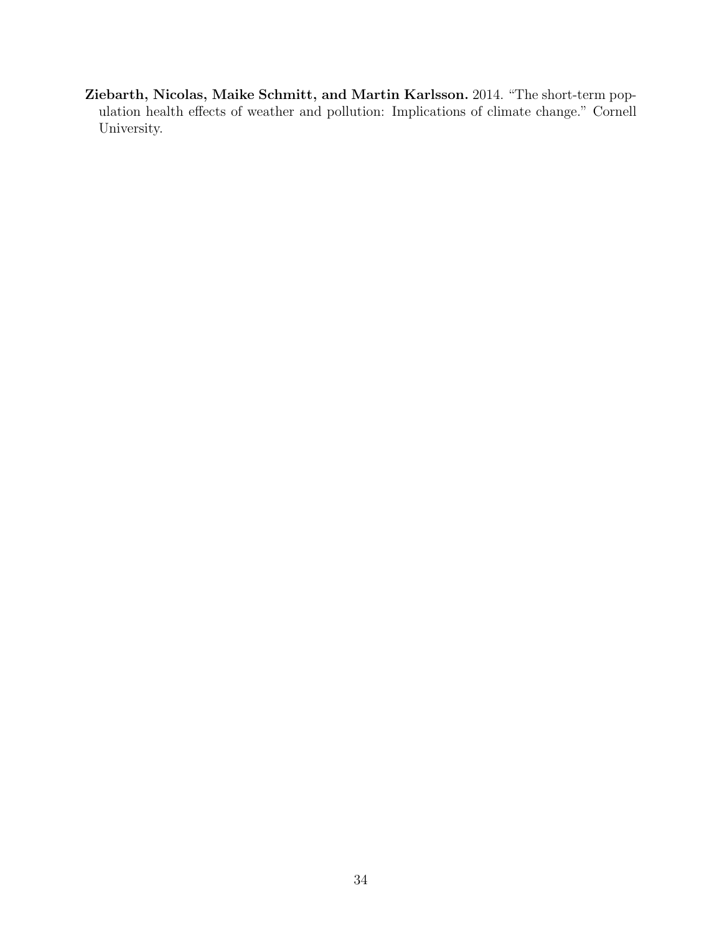<span id="page-33-0"></span>Ziebarth, Nicolas, Maike Schmitt, and Martin Karlsson. 2014. "The short-term population health effects of weather and pollution: Implications of climate change." Cornell University.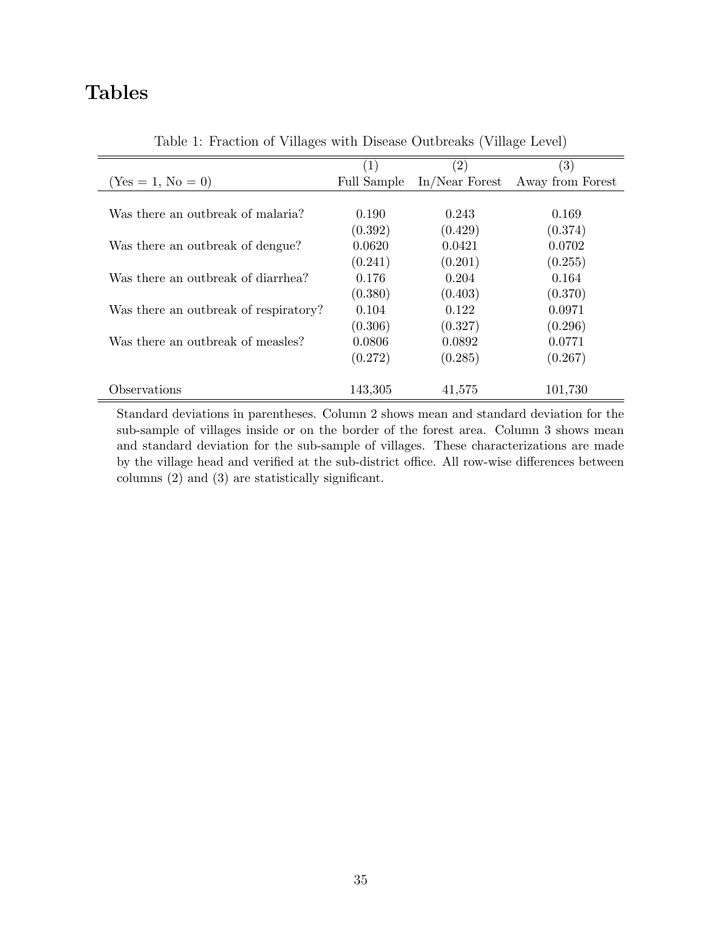# Tables

|                                       | (1)         | $\left( 2\right)$ | $\left( 3\right)$ |
|---------------------------------------|-------------|-------------------|-------------------|
| $(Yes = 1, No = 0)$                   | Full Sample | $In/Near$ Forest  | Away from Forest  |
|                                       |             |                   |                   |
| Was there an outbreak of malaria?     | 0.190       | 0.243             | 0.169             |
|                                       | (0.392)     | (0.429)           | (0.374)           |
| Was there an outbreak of dengue?      | 0.0620      | 0.0421            | 0.0702            |
|                                       | (0.241)     | (0.201)           | (0.255)           |
| Was there an outbreak of diarrhea?    | 0.176       | 0.204             | 0.164             |
|                                       | (0.380)     | (0.403)           | (0.370)           |
| Was there an outbreak of respiratory? | 0.104       | 0.122             | 0.0971            |
|                                       | (0.306)     | (0.327)           | (0.296)           |
| Was there an outbreak of measles?     | 0.0806      | 0.0892            | 0.0771            |
|                                       | (0.272)     | (0.285)           | (0.267)           |
|                                       |             |                   |                   |
| Observations                          | 143,305     | 41,575            | 101,730           |

<span id="page-34-0"></span>Table 1: Fraction of Villages with Disease Outbreaks (Village Level)

Standard deviations in parentheses. Column 2 shows mean and standard deviation for the sub-sample of villages inside or on the border of the forest area. Column 3 shows mean and standard deviation for the sub-sample of villages. These characterizations are made by the village head and verified at the sub-district office. All row-wise differences between columns (2) and (3) are statistically significant.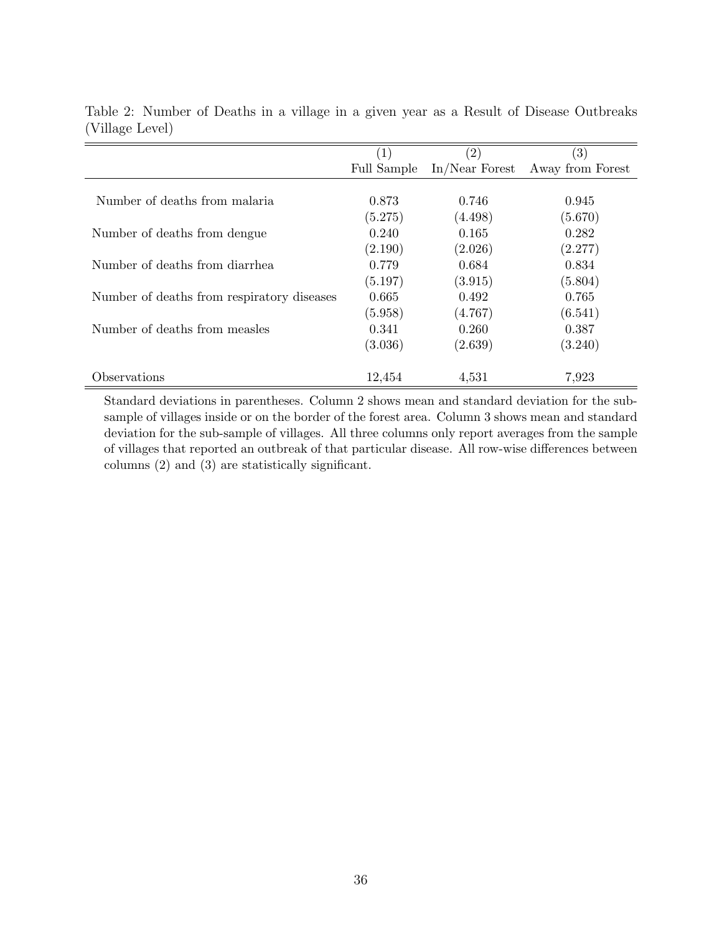|                                            | $\left( 1\right)$ | $\left( 2\right)$ | $\left( 3\right)$ |
|--------------------------------------------|-------------------|-------------------|-------------------|
|                                            | Full Sample       | $In/Near$ Forest  | Away from Forest  |
|                                            |                   |                   |                   |
| Number of deaths from malaria              | 0.873             | 0.746             | 0.945             |
|                                            | (5.275)           | (4.498)           | (5.670)           |
| Number of deaths from dengue.              | 0.240             | 0.165             | 0.282             |
|                                            | (2.190)           | (2.026)           | (2.277)           |
| Number of deaths from diarrhea             | 0.779             | 0.684             | 0.834             |
|                                            | (5.197)           | (3.915)           | (5.804)           |
| Number of deaths from respiratory diseases | 0.665             | 0.492             | 0.765             |
|                                            | (5.958)           | (4.767)           | (6.541)           |
| Number of deaths from measles              | 0.341             | 0.260             | 0.387             |
|                                            | (3.036)           | (2.639)           | (3.240)           |
| Observations                               | 12,454            | 4,531             | 7,923             |

<span id="page-35-0"></span>Table 2: Number of Deaths in a village in a given year as a Result of Disease Outbreaks (Village Level)

Standard deviations in parentheses. Column 2 shows mean and standard deviation for the subsample of villages inside or on the border of the forest area. Column 3 shows mean and standard deviation for the sub-sample of villages. All three columns only report averages from the sample of villages that reported an outbreak of that particular disease. All row-wise differences between columns (2) and (3) are statistically significant.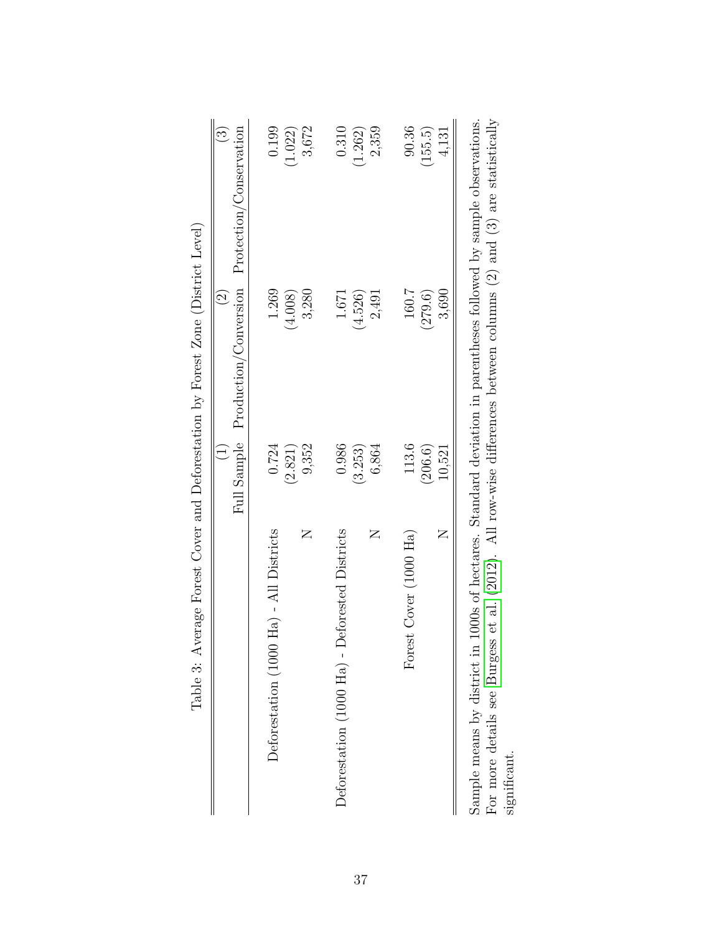| Table 3: Average Forest Cover and Deforestation by Forest Zone (District Level)                                                                                   |             |                                            |                                                                                       |
|-------------------------------------------------------------------------------------------------------------------------------------------------------------------|-------------|--------------------------------------------|---------------------------------------------------------------------------------------|
|                                                                                                                                                                   | Full Sample | Production/Conversion<br>$\widehat{\odot}$ | Protection/Conservation<br>$\widehat{\mathbb{C}}$                                     |
| Ha) - All Districts<br>Deforestation (1000                                                                                                                        | 0.724       | 1.269                                      | 0.199                                                                                 |
|                                                                                                                                                                   | (2.821)     | (4.008)                                    | (1.022)                                                                               |
| Z                                                                                                                                                                 | 9,352       | 3,280                                      | 3,672                                                                                 |
| Deforested Districts<br>Deforestation $(1000 \text{ Ha})$ -                                                                                                       | 0.986       | 1.671                                      | 0.310                                                                                 |
|                                                                                                                                                                   | (3.253)     | (4.526)                                    | (1.262)                                                                               |
| Z                                                                                                                                                                 | 6,864       | 2,491                                      | 2,359                                                                                 |
| Forest Cover (1000 Ha)                                                                                                                                            | 113.6       | 160.7                                      | 90.36                                                                                 |
|                                                                                                                                                                   | (206.6)     | (279.6)                                    | (155.5)                                                                               |
| Z                                                                                                                                                                 | 10,521      | 3,690                                      | 4,131                                                                                 |
| For more details see Burgess et al. (2012). All row-wise differences between columns (2) and (3) are statistically<br>Sample means by district in<br>significant. |             |                                            | 1000s of hectares. Standard deviation in parentheses followed by sample observations. |

| $\frac{1}{2}$<br>i<br>I<br>I<br>I<br>I                            |
|-------------------------------------------------------------------|
| I<br>l<br>$\frac{1}{2}$<br>$\mathfrak{g}$                         |
| .<br>.<br>]<br>]<br>$\ddot{\cdot}$<br>I                           |
| $\frac{1}{2}$<br>i<br>I<br>ŗ                                      |
| í                                                                 |
| いちくこ しゅくし りょくしゅくしゃ<br>١<br>l                                      |
| $\mathfrak{c}$                                                    |
|                                                                   |
| Ì                                                                 |
| $\frac{1}{2}$<br>$\begin{bmatrix} 2 \\ 3 \end{bmatrix}$<br>ļ<br>l |
| ا<br>م<br>م<br>.<br>(<)<br>(<br>١<br>j                            |
| I                                                                 |
| )<br>2<br>1<br>1<br>T <sub>o</sub> ld                             |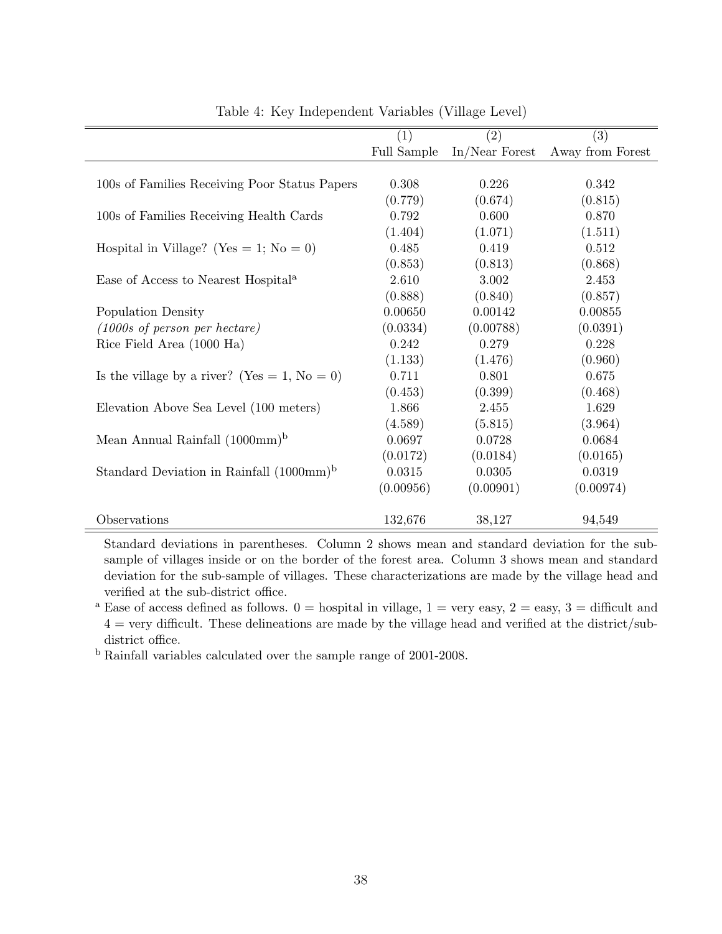|                                                              | (1)         | (2)              | (3)              |
|--------------------------------------------------------------|-------------|------------------|------------------|
|                                                              | Full Sample | $In/Near$ Forest | Away from Forest |
|                                                              |             |                  |                  |
| 100s of Families Receiving Poor Status Papers                | 0.308       | 0.226            | 0.342            |
|                                                              | (0.779)     | (0.674)          | (0.815)          |
| 100s of Families Receiving Health Cards                      | 0.792       | 0.600            | 0.870            |
|                                                              | (1.404)     | (1.071)          | (1.511)          |
| Hospital in Village? (Yes = 1; No = 0)                       | 0.485       | 0.419            | 0.512            |
|                                                              | (0.853)     | (0.813)          | (0.868)          |
| Ease of Access to Nearest Hospital <sup>a</sup>              | 2.610       | 3.002            | 2.453            |
|                                                              | (0.888)     | (0.840)          | (0.857)          |
| Population Density                                           | 0.00650     | 0.00142          | 0.00855          |
| $(1000s \text{ of } person \text{ per } hectare)$            | (0.0334)    | (0.00788)        | (0.0391)         |
| Rice Field Area (1000 Ha)                                    | 0.242       | 0.279            | 0.228            |
|                                                              | (1.133)     | (1.476)          | (0.960)          |
| Is the village by a river? (Yes = 1, No = 0)                 | 0.711       | 0.801            | 0.675            |
|                                                              | (0.453)     | (0.399)          | (0.468)          |
| Elevation Above Sea Level (100 meters)                       | 1.866       | 2.455            | 1.629            |
|                                                              | (4.589)     | (5.815)          | (3.964)          |
| Mean Annual Rainfall $(1000 \text{mm})^b$                    | 0.0697      | 0.0728           | 0.0684           |
|                                                              | (0.0172)    | (0.0184)         | (0.0165)         |
| Standard Deviation in Rainfall $(1000 \text{mm})^{\text{b}}$ | 0.0315      | 0.0305           | 0.0319           |
|                                                              | (0.00956)   | (0.00901)        | (0.00974)        |
| Observations                                                 | 132,676     | 38,127           | 94,549           |

<span id="page-37-0"></span>Table 4: Key Independent Variables (Village Level)

Standard deviations in parentheses. Column 2 shows mean and standard deviation for the subsample of villages inside or on the border of the forest area. Column 3 shows mean and standard deviation for the sub-sample of villages. These characterizations are made by the village head and verified at the sub-district office.

<sup>a</sup> Ease of access defined as follows.  $0 =$  hospital in village,  $1 =$  very easy,  $2 =$  easy,  $3 =$  difficult and  $4 = \text{very difficult}$ . These delineations are made by the village head and verified at the district/subdistrict office.

<sup>b</sup> Rainfall variables calculated over the sample range of 2001-2008.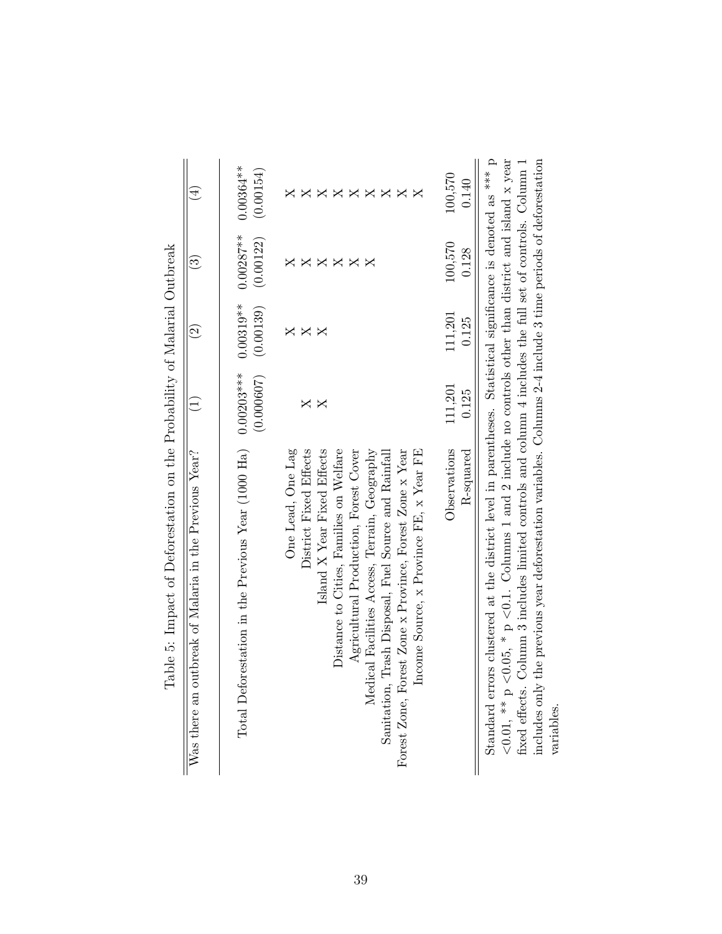<span id="page-38-0"></span>

| outbreak of Malaria in the Previous Year?<br>Was there an                                                                                                                                                                                                                                                                                                                     |                            | $\widehat{\mathfrak{O}}$ | $\widetilde{\mathbb{C}}$                 |                                                                     |
|-------------------------------------------------------------------------------------------------------------------------------------------------------------------------------------------------------------------------------------------------------------------------------------------------------------------------------------------------------------------------------|----------------------------|--------------------------|------------------------------------------|---------------------------------------------------------------------|
| Total Deforestation in the Previous Year (1000 Ha)                                                                                                                                                                                                                                                                                                                            | $0.00203***$<br>(0.000607) | $0.00319**$<br>(0.00139) | $0.00287***$<br>(0.00122)                | $0.00364***$<br>(0.00154)                                           |
| One Lead, One Lag<br>District Fixed Effects<br>Island X Year Fixed Effects<br>Distance to Cities, Families on Welfare<br>Agricultural Production, Forest Cover<br>Medical Facilities Access, Terrain, Geography<br>Forest Zone, Forest Zone x Province, Forest Zone x Year<br>Income Source, x Province FE, x Year FE<br>Sanitation, Trash Disposal, Fuel Source and Rainfall | Χ                          | $\times$<br>X            | ×<br>$\boldsymbol{\mathsf{X}}$<br>X<br>∢ | ♭<br>$\mathsf{X}$<br>$\Join$<br>$\boldsymbol{\mathsf{X}}$<br>5<br>۵ |
| Observations<br>R-squared                                                                                                                                                                                                                                                                                                                                                     | 111,201<br>0.125           | 111,201<br>0.125         | 100,570<br>0.128                         | 100,570<br>0.140                                                    |
| <0.01, ** p <0.05, * p <0.1. Columns 1 and 2 include no controls other than district and island x year<br>Standard errors clustered at the district level in parentheses. Statistical significance is denoted as *** p<br>fixed effects. Column 3 includes limited controls and column 4 includes the full set of controls. Column 1                                          |                            |                          |                                          |                                                                     |

includes only the previous year deforestation variables. Columns 2-4 include 3 time periods of deforestation includes only the previous year deforestation variables. Columns  $2-4$  include 3 time periods of deforestation variables.

| .<br>.<br>.<br>j<br>$\zeta$                                                                                                                                                                                                                                                                |
|--------------------------------------------------------------------------------------------------------------------------------------------------------------------------------------------------------------------------------------------------------------------------------------------|
| ļ<br>$\sim$ $\sim$ $\sim$ $\sim$ $\sim$ $\sim$ $\sim$ $\sim$<br>$\vdots$<br>֖֖֖֖֖֖֚֚֚֚֚֚֚֚֚֚֚֚֡֬֝ <b>֓</b><br>Ì                                                                                                                                                                            |
| $\sim$<br>l<br>$\ddot{\phantom{a}}$<br>$\overline{1}$<br>j                                                                                                                                                                                                                                 |
|                                                                                                                                                                                                                                                                                            |
| $+27.1$<br>ו<br>י<br>)<br> )<br> }<br>こうこうしょう<br> <br> <br>                                                                                                                                                                                                                                |
| $\frac{1}{2}$<br>is a company of the company of the company of the company of the company of the company of the company of the company of the company of the company of the company of the company of the company of the company of the company<br>1<br>י<br>ו<br>$\overline{\phantom{a}}$ |
| l<br>$\frac{1}{2}$<br>Ì<br>ì<br>$\begin{bmatrix} 1 \\ 1 \\ 1 \end{bmatrix}$<br>$\overline{\phantom{a}}$<br>I                                                                                                                                                                               |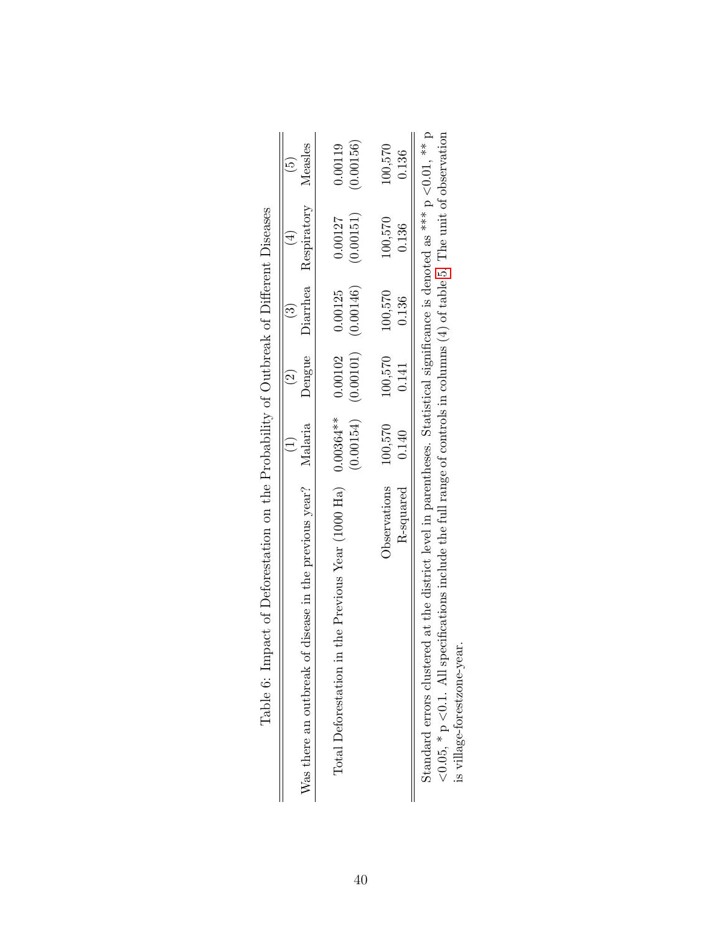<span id="page-39-0"></span>

| Table o: Impact of Deforestation on the Frobability of Outbreak of Different Diseases                                                                                                                                                                                     |           |                                                            |                 |                                     |                      |
|---------------------------------------------------------------------------------------------------------------------------------------------------------------------------------------------------------------------------------------------------------------------------|-----------|------------------------------------------------------------|-----------------|-------------------------------------|----------------------|
| Was there an outbreak of disease in the previous year? Malaria                                                                                                                                                                                                            |           | $\left( \frac{2}{2} \right)$                               |                 | Dengue Diarrhea Respiratory Measles | $\overline{5}$       |
| Total Deforestation in the Previous Year (1000 Ha) $0.00364**$                                                                                                                                                                                                            |           | $(0.00154)$ $(0.00101)$ $(0.00146)$<br>$0.00102$ $0.00125$ |                 | (0.00151)<br>0.00127                | (0.00156)<br>0.00119 |
| Observations 100,570                                                                                                                                                                                                                                                      |           |                                                            | 100,570 100,570 | 100,570                             | 100,570              |
| R-squared                                                                                                                                                                                                                                                                 | $0.140\,$ | 0.141                                                      | 0.136           | 0.136                               | 0.136                |
| Standard errors clustered at the district level in parentheses. Statistical significance is denoted as *** $p < 0.01$ , ** $p$<br>$\angle 0.05$ * p $\angle 0.1$ All specifications include the full range of controls in columns (4) of table 5. The unit of observation |           |                                                            |                 |                                     |                      |

| I<br>Í                                                                                                                                                                                                                                             |
|----------------------------------------------------------------------------------------------------------------------------------------------------------------------------------------------------------------------------------------------------|
| $\ddot{\phantom{0}}$                                                                                                                                                                                                                               |
|                                                                                                                                                                                                                                                    |
|                                                                                                                                                                                                                                                    |
| .<br>.<br>.<br>.<br>'<br>ן                                                                                                                                                                                                                         |
|                                                                                                                                                                                                                                                    |
|                                                                                                                                                                                                                                                    |
| . The company of the factor on the company of the company of the company of the company of the company of the company of the company of the company of the company of the company of the company of the company of the company<br>$\left( \right)$ |
|                                                                                                                                                                                                                                                    |
| )<br>2<br>1<br>1<br>1<br>1<br>1<br>1<br><br>ł                                                                                                                                                                                                      |
|                                                                                                                                                                                                                                                    |
| $\frac{1}{2}$<br>$\frac{1}{2}$                                                                                                                                                                                                                     |

opservation  $<$ 0.1. All specifications include the full range of controls in columns (4) of table [5.](#page-38-0) The unit of observation no quin E Ĥ, .<br>C  $_{\rm{calc}}$ 5  $\widetilde{f}$ continuis ruu range or controls in ATM <0.05, \* p <0.1. All specifications include<br>is village-forestzone-year. is village-forestzone-year.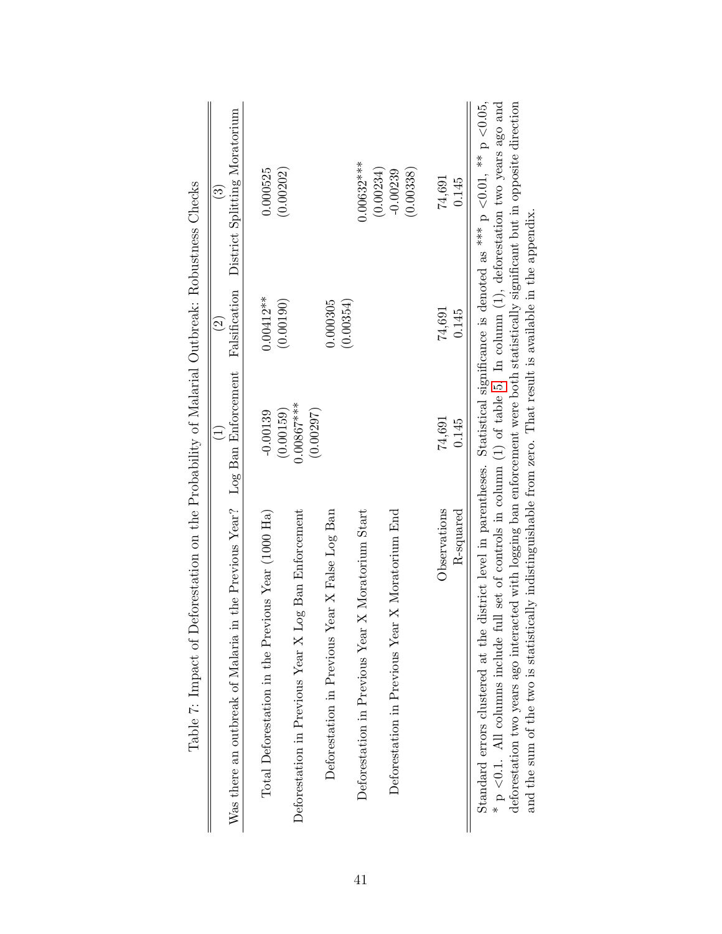<span id="page-40-0"></span>

| изможных синоменностранных от держания и при страния и держания и страния и страния и страния и при сличностран                   |                           |                       |                               |
|-----------------------------------------------------------------------------------------------------------------------------------|---------------------------|-----------------------|-------------------------------|
|                                                                                                                                   | $\widehat{\exists}$       | $\widehat{\Omega}$    | $\widehat{\mathbb{C}}$        |
| Was there an outbreak of Malaria in the Previous Year? Log Ban Enforcement                                                        |                           | Falsification         | District Splitting Moratorium |
| Total Deforestation in the Previous Year (1000 Ha)                                                                                | $-0.00139$                | $0.00412**$           | 0.000525                      |
|                                                                                                                                   | (0.00159)                 | (0.00190)             | (0.00202)                     |
| Deforestation in Previous Year X Log Ban Enforcement                                                                              | $0.00867***$<br>(0.00297) |                       |                               |
| Deforestation in Previous Year X False Log Ban                                                                                    |                           | (0.00354)<br>0.000305 |                               |
| Deforestation in Previous Year X Moratorium Start                                                                                 |                           |                       | $0.00632***$                  |
|                                                                                                                                   |                           |                       | (0.00234)                     |
| Deforestation in Previous Year X Moratorium End                                                                                   |                           |                       | $-0.00239$                    |
|                                                                                                                                   |                           |                       | (0.00338)                     |
| Observations                                                                                                                      | 74,691                    | 74,691                | 74,691                        |
| R-squared                                                                                                                         | 0.145                     | 0.145                 | 0.145                         |
| Standard errors clustered at the district level in parentheses. Statistical significance is denoted as *** p <0.01, ** p <0.05,   |                           |                       |                               |
| $*$ p <0.1. All columns include full set of controls in column (1) of table 5. In column (1), deforestation two years ago and     |                           |                       |                               |
| deforestation two years ago interacted with logging ban enforcement were both statistically significant but in opposite direction |                           |                       |                               |
| and the sum of the two is statistically indistinguishable from zero. That result is available in the appendix.                    |                           |                       |                               |

Table 7: Impact of Deforestation on the Probability of Malarial Outbreak: Robustness Checks Table 7: Impact of Deforestation on the Probability of Malarial Outbreak: Robustness Checks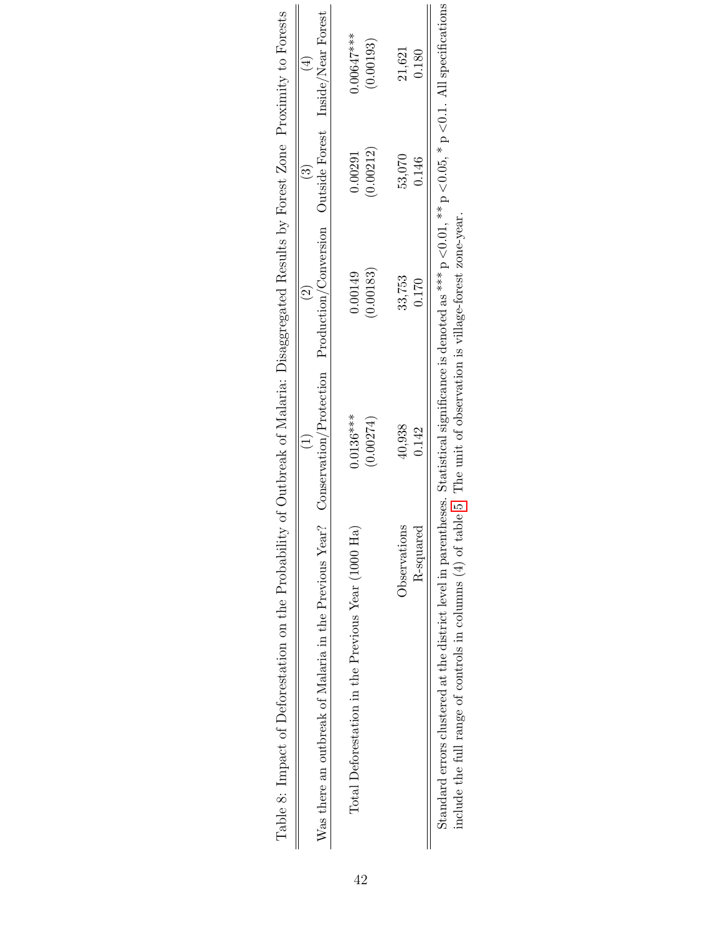<span id="page-41-0"></span>

| Table 8: Impact of Deforestation on the Probability of Outbreak of Malaria: Disaggregated Results by Forest Zone Proximity to Forests                                    |                     |                     |                     |                     |
|--------------------------------------------------------------------------------------------------------------------------------------------------------------------------|---------------------|---------------------|---------------------|---------------------|
| Was there an outbreak of Malaria in the Previous Year? Conservation/Protection Production/Conversion Outside Forest $\frac{1}{10}$ Thear Forest                          |                     |                     |                     |                     |
| Total Deforestation in the Previous Year (1000 Ha)                                                                                                                       | $0.0136***$         | 0.00149             | 0.00291             | $0.00647***$        |
| Observations                                                                                                                                                             | (0.00274)<br>40,938 | (0.00183)<br>33,753 | (0.00212)<br>53,070 | (0.00193)<br>21,621 |
| R-squared                                                                                                                                                                | 0.142               | 0.170               | 0.146               | 0.180               |
| Standard errors clustered at the district level in parentheses. Statistical significance is denoted as *** $p < 0.01$ , ** $p < 0.05$ , * $p < 0.1$ . All specifications |                     |                     |                     |                     |
| include the full range of controls in columns $(4)$ of table 5. The unit of observation is village-forest zone-year.                                                     |                     |                     |                     |                     |

| ľ<br>I                                                                                                                       |  |
|------------------------------------------------------------------------------------------------------------------------------|--|
|                                                                                                                              |  |
| i<br>!<br>l<br>I                                                                                                             |  |
| $\frac{1}{2}$<br>I                                                                                                           |  |
| ļ<br>֚֬<br>;<br>;                                                                                                            |  |
| l<br>$\frac{1}{2}$<br>i<br>S                                                                                                 |  |
| i<br>i<br>1<br>1<br>2<br>2<br>2<br>2<br>1<br>2<br>1<br>1<br>1<br>1<br>1<br>1<br>1<br>1<br>1<br>1<br>1<br>$\overline{a}$<br>ĺ |  |
| ミー・ミー・シー<br>Í<br>.<br>.                                                                                                      |  |
| $\ddot{\phantom{a}}$<br>į<br>;<br>;<br>)                                                                                     |  |
| İ<br>$\frac{1}{2}$<br>)<br>∔<br>+<br>i.<br>$\sum_{i=1}^{n}$                                                                  |  |
| ;<br>l                                                                                                                       |  |
| $- - - -$                                                                                                                    |  |
|                                                                                                                              |  |
| りょうさい こ<br>$-10+0+1$<br>l,<br>$\frac{1}{2}$<br>i                                                                             |  |
| Second<br>1<br>I                                                                                                             |  |
| $\frac{1}{2}$<br>-<br>E                                                                                                      |  |

42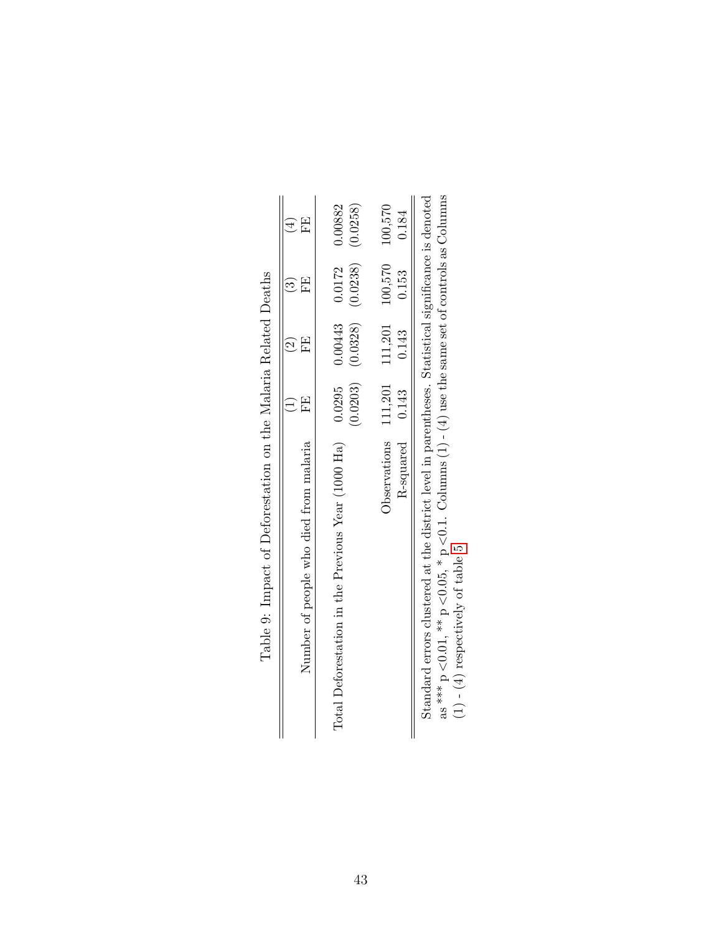<span id="page-42-0"></span>

|         |       |                                             |        | cartic Control Control CON + X + X - / CON + X - / Control Control Control Control Control Control CO<br>Standard errors clustered at the district level in parentheses. Statistical significance is denoted |
|---------|-------|---------------------------------------------|--------|--------------------------------------------------------------------------------------------------------------------------------------------------------------------------------------------------------------|
| 0.184   | 0.153 | $0.143$                                     |        | R-squared 0.143                                                                                                                                                                                              |
|         |       |                                             |        | Observations 111,201 111,201 100,570 100,570                                                                                                                                                                 |
|         |       | $(0.0203)$ $(0.0328)$ $(0.0238)$ $(0.0258)$ |        |                                                                                                                                                                                                              |
| 0.00882 |       | $0.00443$ $0.0172$                          | 0.0295 | Total Deforestation in the Previous Year (1000 Ha)                                                                                                                                                           |
| 모       | E     | 田                                           | 田      | Number of people who died from malaria                                                                                                                                                                       |
|         |       |                                             |        |                                                                                                                                                                                                              |
|         |       |                                             |        | Table 9: Impact of Deforestation on the Malaria Related Deaths                                                                                                                                               |

Table 9: Impact of Deforestation on the Malaria Related Deaths ł,  $\acute{\mu}$  $\mathbf{C}$ l. ł, ÷,  $\epsilon$  $\overline{c}$ Ė  $\zeta$  $\frac{1}{1}$ 

 $|| \nabla$ Standard errors clustered at the district level in parentheses. Statistical significance is denoted  $\lt 0.1$ . Columns (1) - (4) use the same set of controls as Columns  $(1)$  -  $(4)$  respectively of table [5.](#page-38-0)  $<$  0.05,  $*$  p  $<$  0.01,  $*$  p as  $*^{**}p$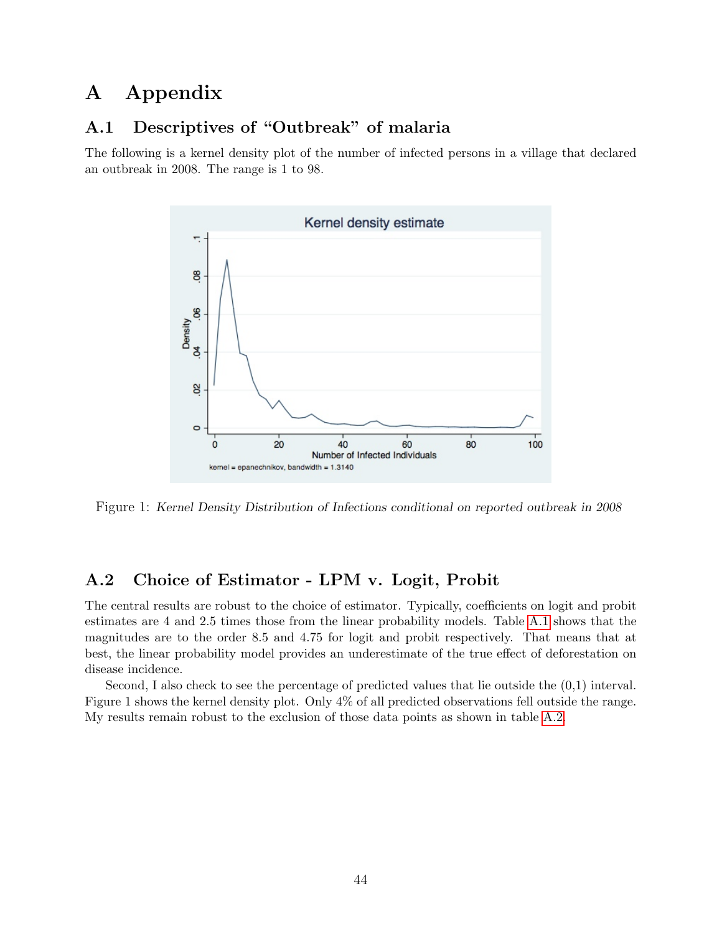# A Appendix

### A.1 Descriptives of "Outbreak" of malaria

The following is a kernel density plot of the number of infected persons in a village that declared an outbreak in 2008. The range is 1 to 98.



Figure 1: Kernel Density Distribution of Infections conditional on reported outbreak in 2008

### A.2 Choice of Estimator - LPM v. Logit, Probit

The central results are robust to the choice of estimator. Typically, coefficients on logit and probit estimates are 4 and 2.5 times those from the linear probability models. Table [A.1](#page-34-0) shows that the magnitudes are to the order 8.5 and 4.75 for logit and probit respectively. That means that at best, the linear probability model provides an underestimate of the true effect of deforestation on disease incidence.

Second, I also check to see the percentage of predicted values that lie outside the (0,1) interval. Figure 1 shows the kernel density plot. Only 4% of all predicted observations fell outside the range. My results remain robust to the exclusion of those data points as shown in table [A.2.](#page-35-0)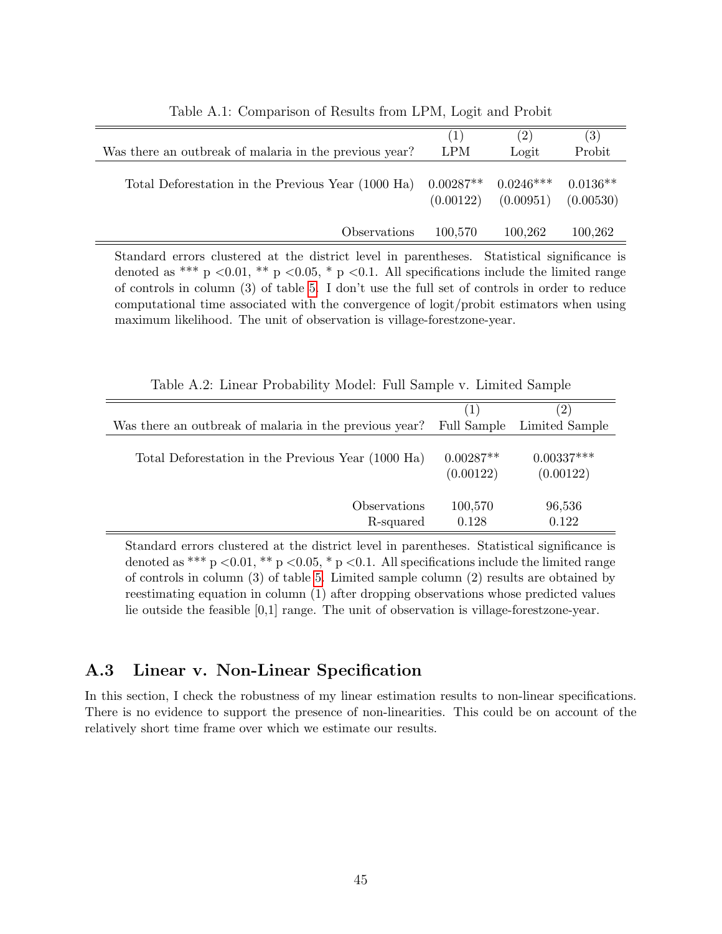|                                                        | (1)                      | (2)                      | (3)                     |
|--------------------------------------------------------|--------------------------|--------------------------|-------------------------|
| Was there an outbreak of malaria in the previous year? | <b>LPM</b>               | Logit                    | Probit                  |
| Total Deforestation in the Previous Year (1000 Ha)     | $0.00287**$<br>(0.00122) | $0.0246***$<br>(0.00951) | $0.0136**$<br>(0.00530) |
| Observations                                           | 100,570                  | 100,262                  | 100,262                 |

Table A.1: Comparison of Results from LPM, Logit and Probit

Standard errors clustered at the district level in parentheses. Statistical significance is denoted as \*\*\* p <0.01, \*\* p <0.05, \* p <0.1. All specifications include the limited range of controls in column (3) of table [5.](#page-38-0) I don't use the full set of controls in order to reduce computational time associated with the convergence of logit/probit estimators when using maximum likelihood. The unit of observation is village-forestzone-year.

|                                                        | (1)                      | $\left(2\right)$          |
|--------------------------------------------------------|--------------------------|---------------------------|
| Was there an outbreak of malaria in the previous year? | Full Sample              | Limited Sample            |
| Total Deforestation in the Previous Year (1000 Ha)     | $0.00287**$<br>(0.00122) | $0.00337***$<br>(0.00122) |
| Observations                                           | 100,570                  | 96,536                    |
| R-squared                                              | 0.128                    | 0.122                     |

Table A.2: Linear Probability Model: Full Sample v. Limited Sample

Standard errors clustered at the district level in parentheses. Statistical significance is denoted as \*\*\* p <0.01, \*\* p <0.05, \* p <0.1. All specifications include the limited range of controls in column (3) of table [5.](#page-38-0) Limited sample column (2) results are obtained by reestimating equation in column (1) after dropping observations whose predicted values lie outside the feasible [0,1] range. The unit of observation is village-forestzone-year.

### A.3 Linear v. Non-Linear Specification

In this section, I check the robustness of my linear estimation results to non-linear specifications. There is no evidence to support the presence of non-linearities. This could be on account of the relatively short time frame over which we estimate our results.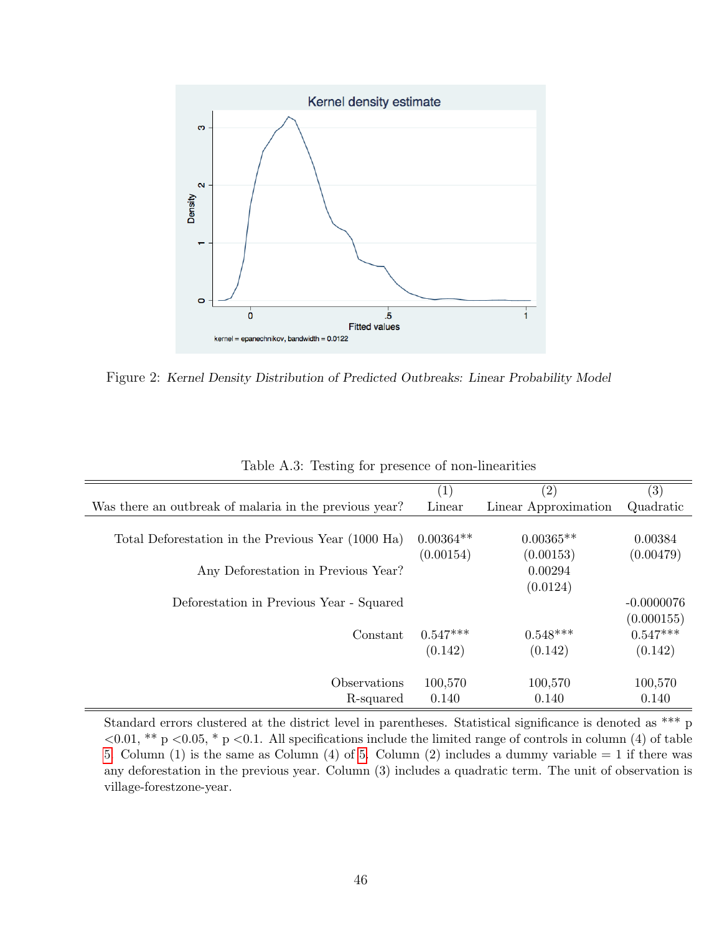

Figure 2: Kernel Density Distribution of Predicted Outbreaks: Linear Probability Model

|                                                        | $\left( 1\right)$ | $\left( 2\right)$    | $\left( 3\right)$ |
|--------------------------------------------------------|-------------------|----------------------|-------------------|
| Was there an outbreak of malaria in the previous year? | Linear            | Linear Approximation | Quadratic         |
|                                                        |                   |                      |                   |
| Total Deforestation in the Previous Year (1000 Ha)     | $0.00364**$       | $0.00365**$          | 0.00384           |
|                                                        | (0.00154)         | (0.00153)            | (0.00479)         |
| Any Deforestation in Previous Year?                    |                   | 0.00294              |                   |
|                                                        |                   | (0.0124)             |                   |
| Deforestation in Previous Year - Squared               |                   |                      | $-0.0000076$      |
|                                                        |                   |                      | (0.000155)        |
| Constant                                               | $0.547***$        | $0.548***$           | $0.547***$        |
|                                                        | (0.142)           | (0.142)              | (0.142)           |
|                                                        |                   |                      |                   |
| Observations                                           | 100,570           | 100,570              | 100,570           |
| R-squared                                              | 0.140             | 0.140                | 0.140             |

Table A.3: Testing for presence of non-linearities

Standard errors clustered at the district level in parentheses. Statistical significance is denoted as \*\*\* p  $\langle 0.01, **p \langle 0.05, *p \langle 0.1, \text{All specifications include the limited range of controls in column (4) of table }$ [5.](#page-38-0) Column (1) is the same as Column (4) of [5.](#page-38-0) Column (2) includes a dummy variable  $= 1$  if there was any deforestation in the previous year. Column (3) includes a quadratic term. The unit of observation is village-forestzone-year.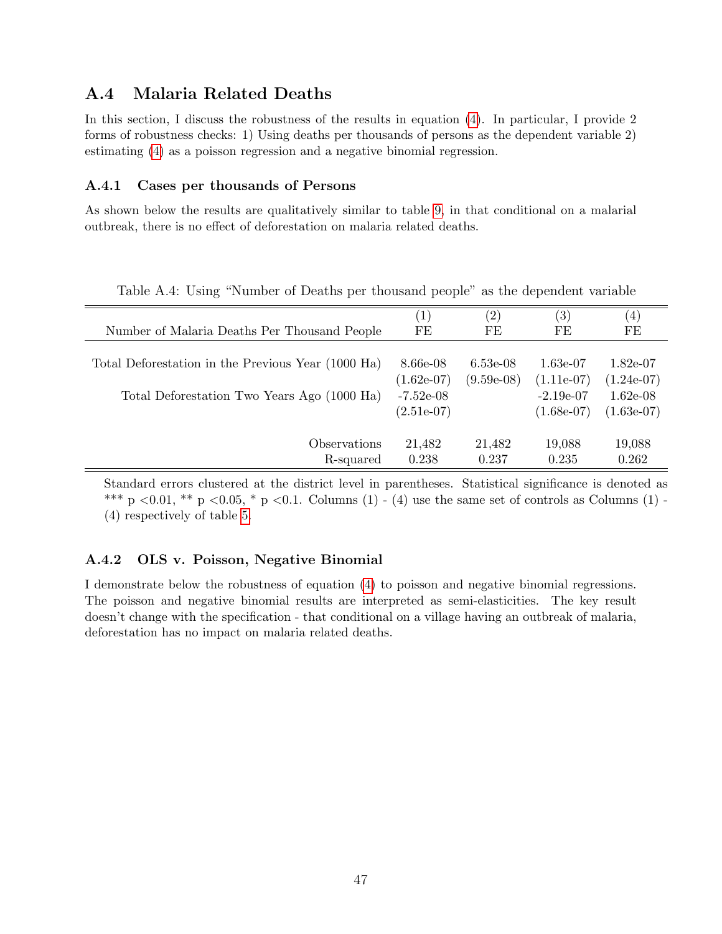### A.4 Malaria Related Deaths

In this section, I discuss the robustness of the results in equation [\(4\)](#page-17-1). In particular, I provide 2 forms of robustness checks: 1) Using deaths per thousands of persons as the dependent variable 2) estimating [\(4\)](#page-17-1) as a poisson regression and a negative binomial regression.

#### A.4.1 Cases per thousands of Persons

As shown below the results are qualitatively similar to table [9,](#page-42-0) in that conditional on a malarial outbreak, there is no effect of deforestation on malaria related deaths.

|                                                    | $\left(1\right)$ | $\left( 2\right)$ | $\left( 3\right)$ | (4)          |
|----------------------------------------------------|------------------|-------------------|-------------------|--------------|
| Number of Malaria Deaths Per Thousand People       | FE               | FE                | FE                | FE           |
|                                                    |                  |                   |                   |              |
| Total Deforestation in the Previous Year (1000 Ha) | 8.66e-08         | $6.53e-08$        | 1.63e-07          | $1.82e-07$   |
|                                                    | $(1.62e-07)$     | $(9.59e-08)$      | $(1.11e-07)$      | $(1.24e-07)$ |
| Total Deforestation Two Years Ago (1000 Ha)        | $-7.52e-08$      |                   | $-2.19e-07$       | $1.62e-08$   |
|                                                    | $(2.51e-07)$     |                   | $(1.68e-07)$      | $(1.63e-07)$ |
| Observations                                       | 21,482           | 21,482            | 19,088            | 19,088       |
|                                                    |                  |                   |                   |              |
| R-squared                                          | 0.238            | 0.237             | 0.235             | 0.262        |

Table A.4: Using "Number of Deaths per thousand people" as the dependent variable

Standard errors clustered at the district level in parentheses. Statistical significance is denoted as \*\*\* p <0.01, \*\* p <0.05, \* p <0.1. Columns (1) - (4) use the same set of controls as Columns (1) -(4) respectively of table [5.](#page-38-0)

#### A.4.2 OLS v. Poisson, Negative Binomial

I demonstrate below the robustness of equation [\(4\)](#page-17-1) to poisson and negative binomial regressions. The poisson and negative binomial results are interpreted as semi-elasticities. The key result doesn't change with the specification - that conditional on a village having an outbreak of malaria, deforestation has no impact on malaria related deaths.